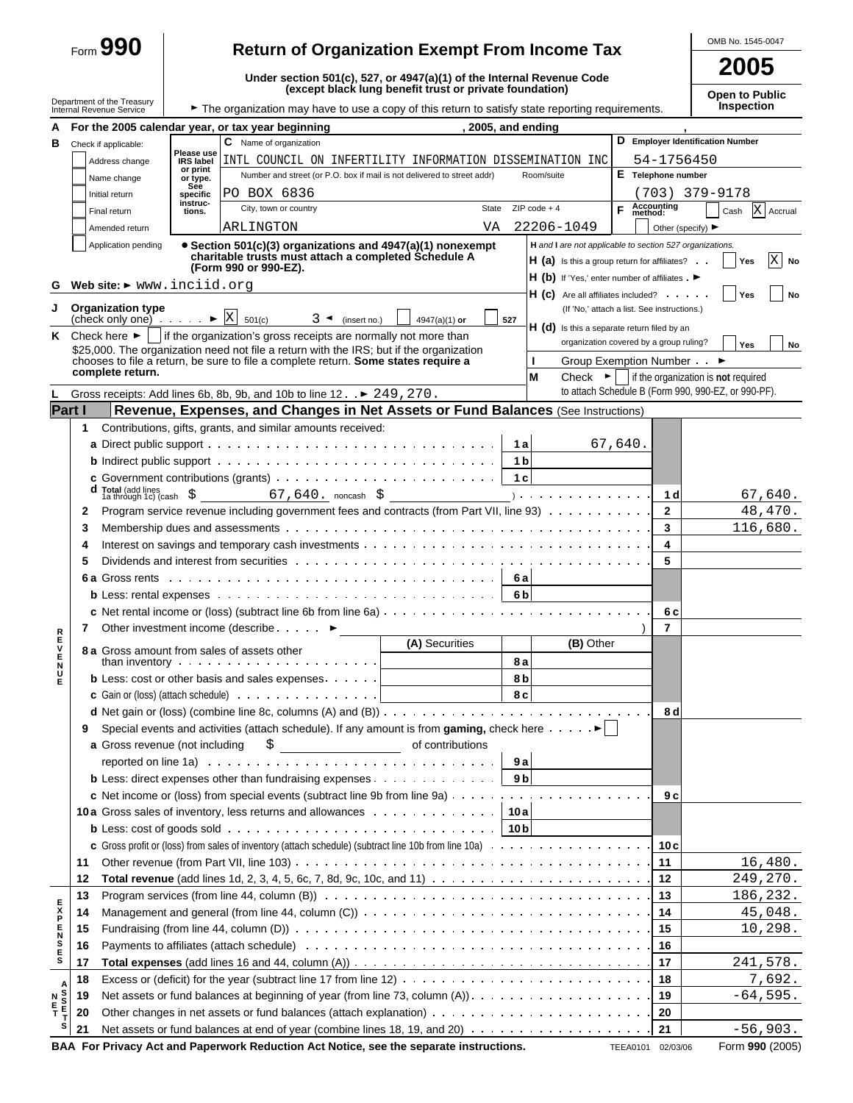|               |    | Form $990$                                                                                                      |                              | <b>Return of Organization Exempt From Income Tax</b>                                                                                                            |                                                         |                                                                                                           |                                             | OMB No. 1545-0047                                                                                                               |
|---------------|----|-----------------------------------------------------------------------------------------------------------------|------------------------------|-----------------------------------------------------------------------------------------------------------------------------------------------------------------|---------------------------------------------------------|-----------------------------------------------------------------------------------------------------------|---------------------------------------------|---------------------------------------------------------------------------------------------------------------------------------|
|               |    |                                                                                                                 |                              |                                                                                                                                                                 | 2005                                                    |                                                                                                           |                                             |                                                                                                                                 |
|               |    | Department of the Treasury                                                                                      |                              | Under section 501(c), 527, or 4947(a)(1) of the Internal Revenue Code                                                                                           | (except black lung benefit trust or private foundation) |                                                                                                           |                                             | <b>Open to Public</b>                                                                                                           |
|               |    | Internal Revenue Service                                                                                        |                              | The organization may have to use a copy of this return to satisfy state reporting requirements.                                                                 |                                                         |                                                                                                           |                                             | <b>Inspection</b>                                                                                                               |
| А             |    |                                                                                                                 |                              | For the 2005 calendar year, or tax year beginning                                                                                                               | , 2005, and ending                                      |                                                                                                           |                                             |                                                                                                                                 |
| в             |    | Check if applicable:                                                                                            | Please use                   | C Name of organization                                                                                                                                          |                                                         |                                                                                                           |                                             | D Employer Identification Number                                                                                                |
|               |    | Address change                                                                                                  | <b>IRS label</b><br>or print | INTL COUNCIL ON INFERTILITY INFORMATION DISSEMINATION INC<br>Number and street (or P.O. box if mail is not delivered to street addr)                            |                                                         | Room/suite                                                                                                | 54-1756450<br>E Telephone number            |                                                                                                                                 |
|               |    | Name change                                                                                                     | or type.<br>See              |                                                                                                                                                                 |                                                         |                                                                                                           |                                             |                                                                                                                                 |
|               |    | Initial return                                                                                                  | specific<br>instruc-         | PO BOX 6836<br>City, town or country                                                                                                                            | State                                                   | $ZIP code + 4$                                                                                            | Accounting<br>method:<br>F.                 | (703) 379-9178<br>X Accrual                                                                                                     |
|               |    | Final return<br>Amended return                                                                                  | tions.                       | ARLINGTON                                                                                                                                                       | VA                                                      | 22206-1049                                                                                                | Other (specify) $\blacktriangleright$       | Cash                                                                                                                            |
|               |    | Application pending                                                                                             |                              | • Section 501(c)(3) organizations and 4947(a)(1) nonexempt<br>charitable trusts must attach a completed Schedule A<br>(Form 990 or 990-EZ).                     |                                                         | H and I are not applicable to section 527 organizations.<br>$H(a)$ is this a group return for affiliates? |                                             | $\mathbf X$<br>Yes<br>No                                                                                                        |
| G.            |    | Web site: > www.inciid.org                                                                                      |                              |                                                                                                                                                                 |                                                         | H (b) If 'Yes,' enter number of affiliates . $\blacktriangleright$                                        |                                             |                                                                                                                                 |
|               |    |                                                                                                                 |                              |                                                                                                                                                                 |                                                         | $H(G)$ Are all affiliates included? $\cdots$                                                              |                                             | Yes<br>No                                                                                                                       |
| J             |    | <b>Organization type</b><br>(check only one) $\cdot \cdot \cdot \cdot$ $\triangleright \boxed{\text{X}}$ 501(c) |                              | $3 \triangleleft$ (insert no.)                                                                                                                                  | 527<br>$4947(a)(1)$ or                                  |                                                                                                           | (If 'No,' attach a list. See instructions.) |                                                                                                                                 |
| ĸ             |    | Check here $\blacktriangleright$ $\vdash$                                                                       |                              | if the organization's gross receipts are normally not more than                                                                                                 |                                                         | H (d) Is this a separate return filed by an                                                               |                                             |                                                                                                                                 |
|               |    |                                                                                                                 |                              | \$25,000. The organization need not file a return with the IRS; but if the organization                                                                         |                                                         |                                                                                                           | organization covered by a group ruling?     | Yes<br>No                                                                                                                       |
|               |    | complete return.                                                                                                |                              | chooses to file a return, be sure to file a complete return. Some states require a                                                                              |                                                         |                                                                                                           | Group Exemption Number • ▶                  |                                                                                                                                 |
|               |    |                                                                                                                 |                              | Gross receipts: Add lines 6b, 8b, 9b, and 10b to line 12 ► 249, 270.                                                                                            |                                                         | М                                                                                                         |                                             | Check $\blacktriangleright$   if the organization is <b>not</b> required<br>to attach Schedule B (Form 990, 990-EZ, or 990-PF). |
| Part I        |    |                                                                                                                 |                              | Revenue, Expenses, and Changes in Net Assets or Fund Balances (See Instructions)                                                                                |                                                         |                                                                                                           |                                             |                                                                                                                                 |
|               | 1  |                                                                                                                 |                              | Contributions, gifts, grants, and similar amounts received:                                                                                                     |                                                         |                                                                                                           |                                             |                                                                                                                                 |
|               |    |                                                                                                                 |                              |                                                                                                                                                                 | 1a                                                      |                                                                                                           | 67,640.                                     |                                                                                                                                 |
|               |    |                                                                                                                 |                              |                                                                                                                                                                 | 1 <sub>b</sub>                                          |                                                                                                           |                                             |                                                                                                                                 |
|               |    |                                                                                                                 |                              |                                                                                                                                                                 | 1 <sub>c</sub>                                          |                                                                                                           |                                             |                                                                                                                                 |
|               | d  |                                                                                                                 |                              | Total (add lines<br>1a through 1c) (cash $\frac{1}{2}$ 67, 640. noncash $\frac{1}{2}$                                                                           |                                                         |                                                                                                           | 1 d                                         | 67,640.                                                                                                                         |
|               | 2  |                                                                                                                 |                              | Program service revenue including government fees and contracts (from Part VII, line 93)                                                                        |                                                         |                                                                                                           | $\mathbf{2}$                                | 48,470.                                                                                                                         |
|               | 3  |                                                                                                                 |                              |                                                                                                                                                                 |                                                         |                                                                                                           | 3                                           | 116,680.                                                                                                                        |
|               | 4  |                                                                                                                 |                              |                                                                                                                                                                 |                                                         |                                                                                                           | 4                                           |                                                                                                                                 |
|               | 5  |                                                                                                                 |                              | Dividends and interest from securities etheral examples of the contract of the contract of the contract of the                                                  |                                                         |                                                                                                           | 5                                           |                                                                                                                                 |
|               |    |                                                                                                                 |                              |                                                                                                                                                                 | 6 a l                                                   |                                                                                                           |                                             |                                                                                                                                 |
|               |    |                                                                                                                 |                              |                                                                                                                                                                 | 6 <sub>b</sub>                                          |                                                                                                           |                                             |                                                                                                                                 |
|               |    |                                                                                                                 |                              |                                                                                                                                                                 |                                                         |                                                                                                           | 6 c                                         |                                                                                                                                 |
| R<br>E        | 7  |                                                                                                                 |                              | Other investment income (describe ▶                                                                                                                             |                                                         |                                                                                                           | 7                                           |                                                                                                                                 |
| v             |    |                                                                                                                 |                              | 8 a. Gross amount from sales of assets other                                                                                                                    | (A) Securities                                          | (B) Other                                                                                                 |                                             |                                                                                                                                 |
| E<br>N<br>U   |    |                                                                                                                 |                              |                                                                                                                                                                 | 8 a                                                     |                                                                                                           |                                             |                                                                                                                                 |
| E             |    |                                                                                                                 |                              | <b>b</b> Less: cost or other basis and sales expenses $\cdots$                                                                                                  | 8 <sub>b</sub>                                          |                                                                                                           |                                             |                                                                                                                                 |
|               |    |                                                                                                                 |                              | <b>c</b> Gain or (loss) (attach schedule) $\ldots$ $\ldots$ $\ldots$ $\ldots$ $\ldots$ $\ldots$                                                                 | 8 c                                                     |                                                                                                           |                                             |                                                                                                                                 |
|               |    |                                                                                                                 |                              |                                                                                                                                                                 |                                                         |                                                                                                           | 8 d                                         |                                                                                                                                 |
|               | 9  | a Gross revenue (not including                                                                                  |                              | Special events and activities (attach schedule). If any amount is from gaming, check here $\dots \dots$                                                         | of contributions                                        |                                                                                                           |                                             |                                                                                                                                 |
|               |    |                                                                                                                 |                              | $\frac{1}{2}$<br>reported on line 1a) $\cdots$ $\cdots$ $\cdots$ $\cdots$ $\cdots$ $\cdots$ $\cdots$ $\cdots$ $\cdots$ $\cdots$ $\cdots$                        | 9a                                                      |                                                                                                           |                                             |                                                                                                                                 |
|               |    |                                                                                                                 |                              | <b>b</b> Less: direct expenses other than fundraising expenses                                                                                                  | 9 <sub>b</sub>                                          |                                                                                                           |                                             |                                                                                                                                 |
|               |    |                                                                                                                 |                              |                                                                                                                                                                 |                                                         |                                                                                                           | 9 c                                         |                                                                                                                                 |
|               |    |                                                                                                                 |                              |                                                                                                                                                                 |                                                         |                                                                                                           |                                             |                                                                                                                                 |
|               |    |                                                                                                                 |                              | <b>b</b> Less: cost of goods sold $\cdots$ $\cdots$ $\cdots$ $\cdots$ $\cdots$ $\cdots$ $\cdots$ $\cdots$ $\cdots$ $\cdots$ $\cdots$ $\cdots$ $\cdots$ $\cdots$ |                                                         |                                                                                                           |                                             |                                                                                                                                 |
|               |    |                                                                                                                 |                              |                                                                                                                                                                 |                                                         |                                                                                                           | 10 c                                        |                                                                                                                                 |
|               | 11 |                                                                                                                 |                              |                                                                                                                                                                 |                                                         |                                                                                                           | 11                                          | 16,480.                                                                                                                         |
|               | 12 |                                                                                                                 |                              |                                                                                                                                                                 |                                                         |                                                                                                           | 12                                          | 249,270.                                                                                                                        |
|               | 13 |                                                                                                                 |                              | Program services (from line 44, column (B) $\ldots \ldots \ldots \ldots \ldots \ldots \ldots \ldots \ldots \ldots \ldots \ldots \ldots$                         |                                                         |                                                                                                           | 13                                          | 186,232.                                                                                                                        |
| <b>SERSER</b> | 14 |                                                                                                                 |                              |                                                                                                                                                                 |                                                         |                                                                                                           | 14                                          | 45,048.                                                                                                                         |
|               | 15 |                                                                                                                 |                              |                                                                                                                                                                 |                                                         |                                                                                                           | 15                                          | 10, 298.                                                                                                                        |
|               | 16 |                                                                                                                 |                              |                                                                                                                                                                 |                                                         |                                                                                                           | 16                                          |                                                                                                                                 |
|               | 17 |                                                                                                                 |                              |                                                                                                                                                                 |                                                         |                                                                                                           | 17                                          | 241,578.                                                                                                                        |
|               | 18 |                                                                                                                 |                              |                                                                                                                                                                 |                                                         |                                                                                                           | 18                                          | 7,692.                                                                                                                          |
|               | 19 |                                                                                                                 |                              | Net assets or fund balances at beginning of year (from line 73, column $(A)$ ). $\ldots$ , , , ,                                                                |                                                         |                                                                                                           | 19                                          | $-64,595.$                                                                                                                      |
|               | 20 |                                                                                                                 |                              |                                                                                                                                                                 |                                                         |                                                                                                           | 20                                          |                                                                                                                                 |
| s             | 21 |                                                                                                                 |                              |                                                                                                                                                                 |                                                         |                                                                                                           | 21                                          | $-56,903.$                                                                                                                      |

**BAA For Privacy Act and Paperwork Reduction Act Notice, see the separate instructions.** TEEA0101 02/03/06 Form 990 (2005)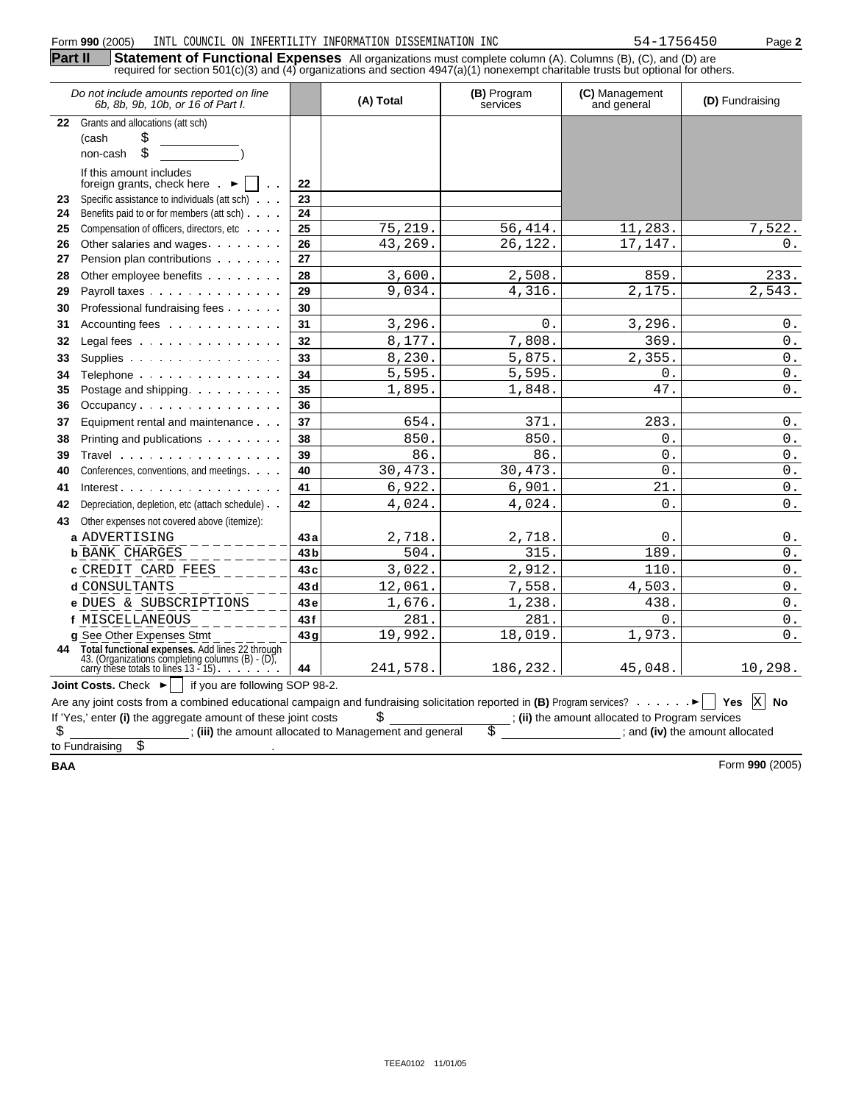|            | Form 990 (2005)<br>INTL COUNCIL ON INFERTILITY INFORMATION DISSEMINATION INC                                                                                                                                                                   |                         |                                                        |                         | 54-1756450                                      | Page 2                          |
|------------|------------------------------------------------------------------------------------------------------------------------------------------------------------------------------------------------------------------------------------------------|-------------------------|--------------------------------------------------------|-------------------------|-------------------------------------------------|---------------------------------|
| Part II    | Statement of Functional Expenses All organizations must complete column (A). Columns (B), (C), and (D) are<br>required for section 501(c)(3) and (4) organizations and section 4947(a)(1) nonexempt charitable trusts but optional for others. |                         |                                                        |                         |                                                 |                                 |
|            | Do not include amounts reported on line<br>6b, 8b, 9b, 10b, or 16 of Part I.                                                                                                                                                                   |                         | (A) Total                                              | (B) Program<br>services | (C) Management<br>and general                   | (D) Fundraising                 |
| 22         | Grants and allocations (att sch)                                                                                                                                                                                                               |                         |                                                        |                         |                                                 |                                 |
|            | \$<br>(cash<br>Ś<br>non-cash                                                                                                                                                                                                                   |                         |                                                        |                         |                                                 |                                 |
|            | If this amount includes<br>foreign grants, check here.                                                                                                                                                                                         | 22                      |                                                        |                         |                                                 |                                 |
| 23         | Specific assistance to individuals (att sch)                                                                                                                                                                                                   | 23                      |                                                        |                         |                                                 |                                 |
| 24         | Benefits paid to or for members (att sch)                                                                                                                                                                                                      | 24                      |                                                        |                         |                                                 |                                 |
| 25         | Compensation of officers, directors, etc                                                                                                                                                                                                       | 25                      | 75,219.                                                | 56,414.                 | 11,283.                                         | 7,522.                          |
| 26         | Other salaries and wages                                                                                                                                                                                                                       | 26                      | 43,269.                                                | 26,122.                 | 17,147.                                         | 0.                              |
| 27         | Pension plan contributions                                                                                                                                                                                                                     | 27                      |                                                        |                         |                                                 |                                 |
| 28         | Other employee benefits<br>Payroll taxes                                                                                                                                                                                                       | 28<br>29                | 3,600.<br>9,034.                                       | 2,508.<br>4,316.        | 859.<br>2,175.                                  | 233.<br>$\overline{2}$ , 543.   |
| 29         | Professional fundraising fees                                                                                                                                                                                                                  | 30                      |                                                        |                         |                                                 |                                 |
| 30         | Accounting fees                                                                                                                                                                                                                                | 31                      |                                                        | 0.                      | 3,296.                                          |                                 |
| 31         |                                                                                                                                                                                                                                                |                         | 3,296.<br>8,177.                                       |                         | 369.                                            | $0$ .<br>$0$ .                  |
| 32         | Legal fees                                                                                                                                                                                                                                     | 32                      |                                                        | 7,808.                  |                                                 |                                 |
| 33         | Supplies                                                                                                                                                                                                                                       | 33                      | 8,230.<br>5,595                                        | 5,875.<br>5,595         | 2,355.<br>$\mathbf{0}$ .                        | $0$ .                           |
| 34         | Telephone                                                                                                                                                                                                                                      | 34                      |                                                        |                         |                                                 | $0$ .                           |
| 35         | Postage and shipping.<br>Occupancy                                                                                                                                                                                                             | 35<br>36                | 1,895                                                  | 1,848                   | 47.                                             | $0$ .                           |
| 36         |                                                                                                                                                                                                                                                |                         | 654.                                                   | 371                     | 283.                                            |                                 |
| 37         | Equipment rental and maintenance                                                                                                                                                                                                               | 37                      |                                                        | 850                     | $\overline{0}$ .                                | $0$ .                           |
| 38         | Printing and publications                                                                                                                                                                                                                      | 38                      | 850.                                                   |                         |                                                 | $0$ .                           |
| 39         | Travel                                                                                                                                                                                                                                         | 39<br>40                | 86.<br>30,473.                                         | 86.<br>30,473.          | $\overline{0}$ .<br>$\overline{0}$ .            | $0$ .<br>$0$ .                  |
| 40         | Conferences, conventions, and meetings.                                                                                                                                                                                                        | 41                      | 6,922.                                                 | 6,901.                  | 21.                                             | $0$ .                           |
| 41         | $Interest$ .                                                                                                                                                                                                                                   | 42                      | 4,024.                                                 | 4,024.                  | 0.                                              | $0$ .                           |
| 42         | Depreciation, depletion, etc (attach schedule)                                                                                                                                                                                                 |                         |                                                        |                         |                                                 |                                 |
| 43         | Other expenses not covered above (itemize):                                                                                                                                                                                                    |                         |                                                        |                         |                                                 |                                 |
|            | a ADVERTISING<br><b>b</b> BANK CHARGES                                                                                                                                                                                                         | 43 a<br>43 <sub>b</sub> | 2,718.<br>504.                                         | 2,718.<br>315           | 0.<br>189.                                      | 0.<br>0.                        |
|            |                                                                                                                                                                                                                                                | 43c                     | 3,022.                                                 | 2,912.                  | 110.                                            | $0$ .                           |
|            | <b>c</b> CREDIT CARD FEES                                                                                                                                                                                                                      | 43 d                    | 12,061.                                                | 7,558.                  | 4,503.                                          | $0$ .                           |
|            | d CONSULTANTS                                                                                                                                                                                                                                  |                         |                                                        |                         |                                                 |                                 |
|            | e DUES & SUBSCRIPTIONS                                                                                                                                                                                                                         | 43e                     | 1,676.                                                 | 1,238.                  | 438.                                            | $0$ .                           |
|            | f MISCELLANEOUS<br>g See Other Expenses Stmt                                                                                                                                                                                                   | 43f<br>43 <sub>q</sub>  | 281.<br>19,992.                                        | 281.<br>18,019.         | 0.<br>1,973.                                    | $0$ .<br>$0$ .                  |
|            | 44 Total functional expenses. Add lines 22 through                                                                                                                                                                                             |                         |                                                        |                         |                                                 |                                 |
|            | 43. (Organizations completing columns (B) - (D),<br>carry these totals to lines $13 - 15$ ).                                                                                                                                                   | 44                      | 241,578.                                               | 186,232.                | 45,048.                                         | 10,298.                         |
|            | Joint Costs. Check $\blacktriangleright$<br>if you are following SOP 98-2.                                                                                                                                                                     |                         |                                                        |                         |                                                 |                                 |
|            | Are any joint costs from a combined educational campaign and fundraising solicitation reported in (B) Program services? $\blacktriangleright$                                                                                                  |                         |                                                        |                         |                                                 | <b>Yes</b><br>XI No             |
|            | If 'Yes,' enter (i) the aggregate amount of these joint costs                                                                                                                                                                                  |                         | S                                                      |                         | ; (ii) the amount allocated to Program services |                                 |
| \$         |                                                                                                                                                                                                                                                |                         | ; (iii) the amount allocated to Management and general |                         |                                                 | ; and (iv) the amount allocated |
|            | \$<br>to Fundraising                                                                                                                                                                                                                           |                         |                                                        |                         |                                                 |                                 |
| <b>BAA</b> |                                                                                                                                                                                                                                                |                         |                                                        |                         |                                                 | Form 990 (2005)                 |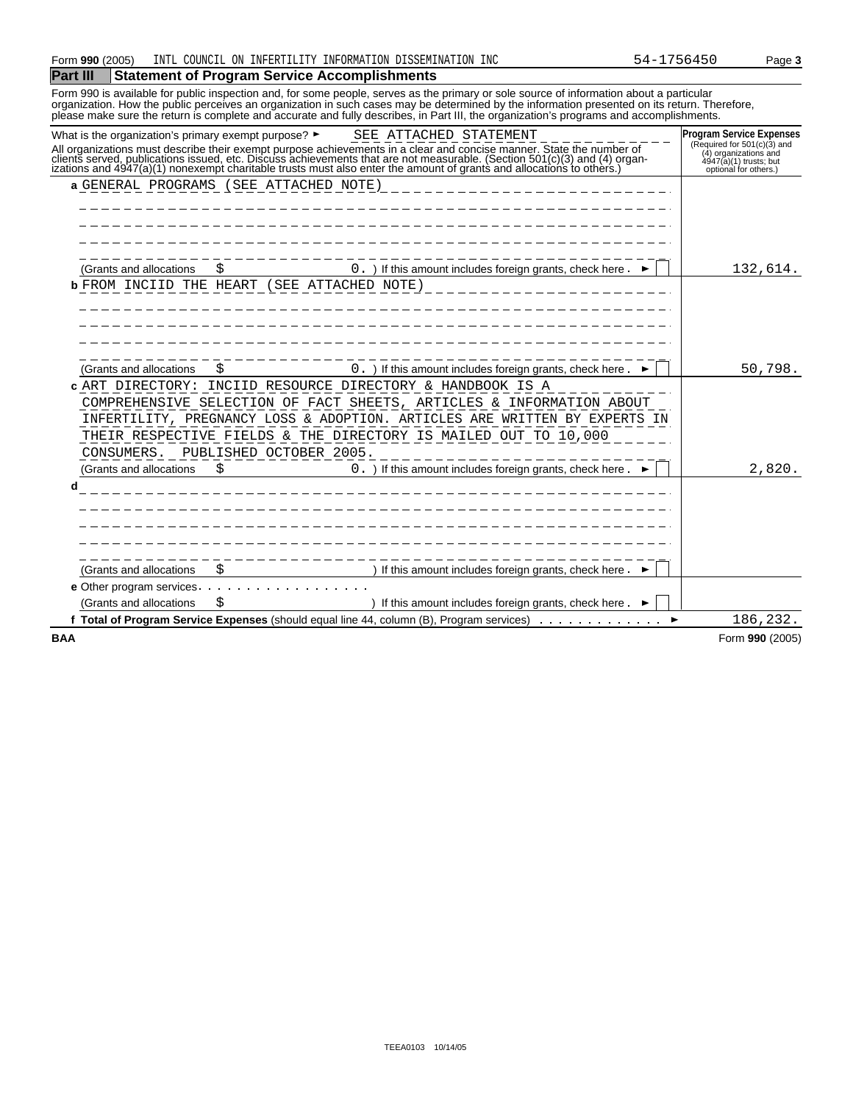#### **Part III Statement of Program Service Accomplishments**

Form 990 is available for public inspection and, for some people, serves as the primary or sole source of information about a particular organization. How the public perceives an organization in such cases may be determined by the information presented on its return. Therefore, please make sure the return is complete and accurate and fully describes, in Part III, the organization's programs and accomplishments.

|            | What is the organization's primary exempt purpose? $\blacktriangleright$ | SEE ATTACHED STATEMENT                                                                                                                                                                                                                                                                                                                                 | <b>Program Service Expenses</b>                                                  |
|------------|--------------------------------------------------------------------------|--------------------------------------------------------------------------------------------------------------------------------------------------------------------------------------------------------------------------------------------------------------------------------------------------------------------------------------------------------|----------------------------------------------------------------------------------|
|            |                                                                          | All organizations must describe their exempt purpose achievements in a clear and concise manner. State the number of<br>clients served, publications issued, etc. Discuss achievements that are not measurable. (Section 501(c)(3) and (4) organizations and 4947(a)(1) nonexempt charitable trusts must also enter the amount of grants and allocatio | (Required for 501(c)(3) and<br>$(4)$ organizations and<br>4947(a)(1) trusts; but |
|            |                                                                          |                                                                                                                                                                                                                                                                                                                                                        | optional for others.)                                                            |
|            | a GENERAL PROGRAMS (SEE ATTACHED NOTE)                                   |                                                                                                                                                                                                                                                                                                                                                        |                                                                                  |
|            |                                                                          |                                                                                                                                                                                                                                                                                                                                                        |                                                                                  |
|            |                                                                          |                                                                                                                                                                                                                                                                                                                                                        |                                                                                  |
|            |                                                                          |                                                                                                                                                                                                                                                                                                                                                        |                                                                                  |
|            | (Grants and allocations                                                  | 0. ) If this amount includes foreign grants, check here.                                                                                                                                                                                                                                                                                               | 132,614.                                                                         |
|            | <b>b</b> FROM INCIID THE HEART                                           | (SEE ATTACHED NOTE)                                                                                                                                                                                                                                                                                                                                    |                                                                                  |
|            |                                                                          |                                                                                                                                                                                                                                                                                                                                                        |                                                                                  |
|            |                                                                          |                                                                                                                                                                                                                                                                                                                                                        |                                                                                  |
|            |                                                                          |                                                                                                                                                                                                                                                                                                                                                        |                                                                                  |
|            |                                                                          |                                                                                                                                                                                                                                                                                                                                                        |                                                                                  |
|            | (Grants and allocations                                                  | 0. ) If this amount includes foreign grants, check here.                                                                                                                                                                                                                                                                                               | 50,798.                                                                          |
|            |                                                                          | c ART DIRECTORY: INCIID RESOURCE DIRECTORY & HANDBOOK IS A                                                                                                                                                                                                                                                                                             |                                                                                  |
|            |                                                                          | COMPREHENSIVE SELECTION OF FACT SHEETS, ARTICLES & INFORMATION ABOUT                                                                                                                                                                                                                                                                                   |                                                                                  |
|            |                                                                          | INFERTILITY, PREGNANCY LOSS & ADOPTION. ARTICLES ARE WRITTEN BY EXPERTS IN                                                                                                                                                                                                                                                                             |                                                                                  |
|            |                                                                          | THEIR RESPECTIVE FIELDS & THE DIRECTORY IS MAILED OUT TO 10,000                                                                                                                                                                                                                                                                                        |                                                                                  |
|            | CONSUMERS. PUBLISHED OCTOBER 2005.                                       |                                                                                                                                                                                                                                                                                                                                                        |                                                                                  |
|            | (Grants and allocations<br>S                                             | 0. ) If this amount includes foreign grants, check here.                                                                                                                                                                                                                                                                                               | 2,820.                                                                           |
| d          |                                                                          |                                                                                                                                                                                                                                                                                                                                                        |                                                                                  |
|            |                                                                          |                                                                                                                                                                                                                                                                                                                                                        |                                                                                  |
|            |                                                                          |                                                                                                                                                                                                                                                                                                                                                        |                                                                                  |
|            |                                                                          |                                                                                                                                                                                                                                                                                                                                                        |                                                                                  |
|            |                                                                          |                                                                                                                                                                                                                                                                                                                                                        |                                                                                  |
|            | (Grants and allocations<br>S                                             | If this amount includes foreign grants, check here.                                                                                                                                                                                                                                                                                                    |                                                                                  |
|            | e Other program services.                                                |                                                                                                                                                                                                                                                                                                                                                        |                                                                                  |
|            | (Grants and allocations                                                  | If this amount includes foreign grants, check here.                                                                                                                                                                                                                                                                                                    |                                                                                  |
|            |                                                                          | f Total of Program Service Expenses (should equal line 44, column $(B)$ , Program services) $\ldots \ldots \ldots$                                                                                                                                                                                                                                     | 186,232.                                                                         |
| <b>BAA</b> |                                                                          |                                                                                                                                                                                                                                                                                                                                                        | Form 990 (2005)                                                                  |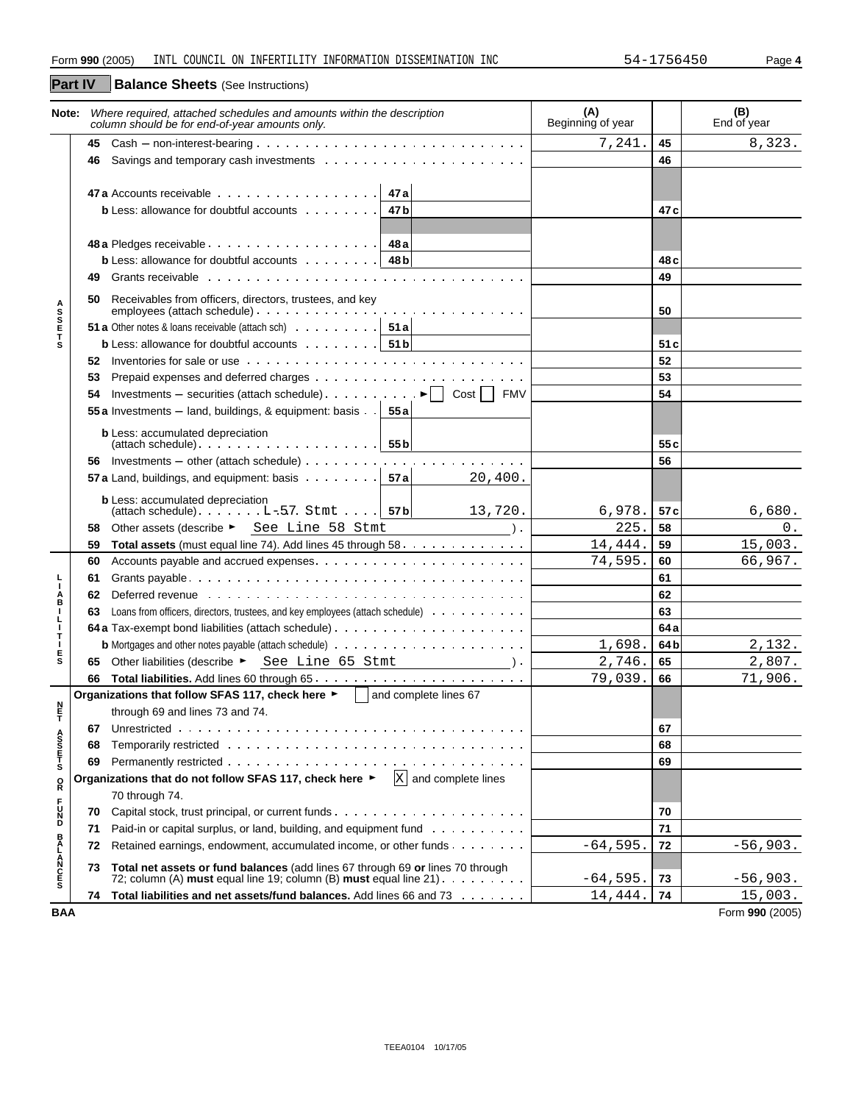| <b>Part IV</b>        |    | <b>Balance Sheets</b> (See Instructions)                                                                                                                                                                                       |                          |      |                    |
|-----------------------|----|--------------------------------------------------------------------------------------------------------------------------------------------------------------------------------------------------------------------------------|--------------------------|------|--------------------|
| Note:                 |    | Where required, attached schedules and amounts within the description<br>column should be for end-of-year amounts only.                                                                                                        | (A)<br>Beginning of year |      | (B)<br>End of year |
|                       | 45 |                                                                                                                                                                                                                                | 7,241                    | 45   | 8,323.             |
|                       | 46 |                                                                                                                                                                                                                                |                          | 46   |                    |
|                       |    | 47 a                                                                                                                                                                                                                           |                          |      |                    |
|                       |    | <b>b</b> Less: allowance for doubtful accounts<br>47 b                                                                                                                                                                         |                          | 47 c |                    |
|                       |    | 48 a Pledges receivable $\cdots$ $\cdots$ $\cdots$ $\cdots$ $\cdots$ $\cdots$<br>48 a                                                                                                                                          |                          |      |                    |
|                       |    | <b>b</b> Less: allowance for doubtful accounts $\cdots$<br>48 b                                                                                                                                                                |                          | 48 c |                    |
|                       | 49 | Grants receivable entering the content of the content of the content of the content of the content of the content of the content of the content of the content of the content of the content of the content of the content of  |                          | 49   |                    |
| <b>ASSETS</b>         | 50 | Receivables from officers, directors, trustees, and key                                                                                                                                                                        |                          | 50   |                    |
|                       |    | <b>51 a</b> Other notes & loans receivable (attach sch) $\cdots$ $\cdots$ $\cdots$ <b>51 a</b>                                                                                                                                 |                          |      |                    |
|                       |    | <b>b</b> Less: allowance for doubtful accounts $\cdots$<br>51 bl                                                                                                                                                               |                          | 51c  |                    |
|                       | 52 | Inventories for sale or use $\cdots$ , $\cdots$ , $\cdots$ , $\cdots$ , $\cdots$ , $\cdots$ , $\cdots$ , $\cdots$ , $\cdots$ , $\cdots$                                                                                        |                          | 52   |                    |
|                       | 53 |                                                                                                                                                                                                                                |                          | 53   |                    |
|                       | 54 | Investments - securities (attach schedule) $\cdots$ $\cdots$ $\cdots$ $\blacktriangleright$   Cost     FMV                                                                                                                     |                          | 54   |                    |
|                       |    | 55 a Investments - land, buildings, & equipment: basis<br>55a                                                                                                                                                                  |                          |      |                    |
|                       |    | <b>b</b> Less: accumulated depreciation<br>55 <sub>b</sub>                                                                                                                                                                     |                          | 55 c |                    |
|                       |    |                                                                                                                                                                                                                                |                          | 56   |                    |
|                       |    | 57 a Land, buildings, and equipment: basis $\cdots$<br>57 a<br>20,400.                                                                                                                                                         |                          |      |                    |
|                       |    | <b>b</b> Less: accumulated depreciation<br>(attach schedule) $\ldots$ $L-57$ . Stmt $\ldots$   57b<br>13,720.                                                                                                                  | 6,978.                   | 57 c | 6,680.             |
|                       | 58 | Other assets (describe ► See Line 58 Stmt<br>$\lambda$                                                                                                                                                                         | 225.                     | 58   | 0.                 |
|                       | 59 | <b>Total assets</b> (must equal line 74). Add lines 45 through 58                                                                                                                                                              | 14,444.                  | 59   | 15,003.            |
|                       | 60 |                                                                                                                                                                                                                                | 74,595.                  | 60   | 66,967.            |
|                       | 61 |                                                                                                                                                                                                                                |                          | 61   |                    |
| A<br>B                | 62 | Deferred revenue et al., respectively in the contract of the contract of the contract of the contract of the contract of the contract of the contract of the contract of the contract of the contract of the contract of the c |                          | 62   |                    |
| т                     | 63 | Loans from officers, directors, trustees, and key employees (attach schedule)                                                                                                                                                  |                          | 63   |                    |
| ┞<br>т                |    |                                                                                                                                                                                                                                |                          | 64 a |                    |
| ı                     |    |                                                                                                                                                                                                                                | 1,698.                   | 64 b | 2,132.             |
| $_{\rm s}^{\rm E}$    |    | 65 Other liabilities (describe ► See Line 65 Stmt).                                                                                                                                                                            | 2,746.                   | 65   | 2,807.             |
|                       | 66 |                                                                                                                                                                                                                                | 79,039.                  | 66   | 71,906.            |
|                       |    | Organizations that follow SFAS 117, check here ►<br>and complete lines 67                                                                                                                                                      |                          |      |                    |
| 투                     |    | through 69 and lines 73 and 74.                                                                                                                                                                                                |                          |      |                    |
|                       | 67 |                                                                                                                                                                                                                                |                          | 67   |                    |
| A<br>S<br>T<br>T<br>S | 68 |                                                                                                                                                                                                                                |                          | 68   |                    |
|                       | 69 |                                                                                                                                                                                                                                |                          | 69   |                    |
| $_{\rm R}^{\rm O}$    |    | $X$ and complete lines<br>Organizations that do not follow SFAS 117, check here ▶                                                                                                                                              |                          |      |                    |
|                       |    | 70 through 74.                                                                                                                                                                                                                 |                          |      |                    |
| <b>F</b><br>DZC       | 70 |                                                                                                                                                                                                                                |                          | 70   |                    |
|                       | 71 | Paid-in or capital surplus, or land, building, and equipment fund                                                                                                                                                              |                          | 71   |                    |
|                       | 72 | Retained earnings, endowment, accumulated income, or other funds                                                                                                                                                               | $-64,595$ .              | 72   | $-56,903.$         |
| <b>BALANCES</b>       | 73 | Total net assets or fund balances (add lines 67 through 69 or lines 70 through<br>72; column (A) must equal line 19; column (B) must equal line $21$ .                                                                         | $-64,595.$               | 73   | $-56,903.$         |
|                       | 74 | Total liabilities and net assets/fund balances. Add lines 66 and 73                                                                                                                                                            | 14,444.                  | 74   | 15,003.            |
| <b>BAA</b>            |    |                                                                                                                                                                                                                                |                          |      | Form 990 (2005)    |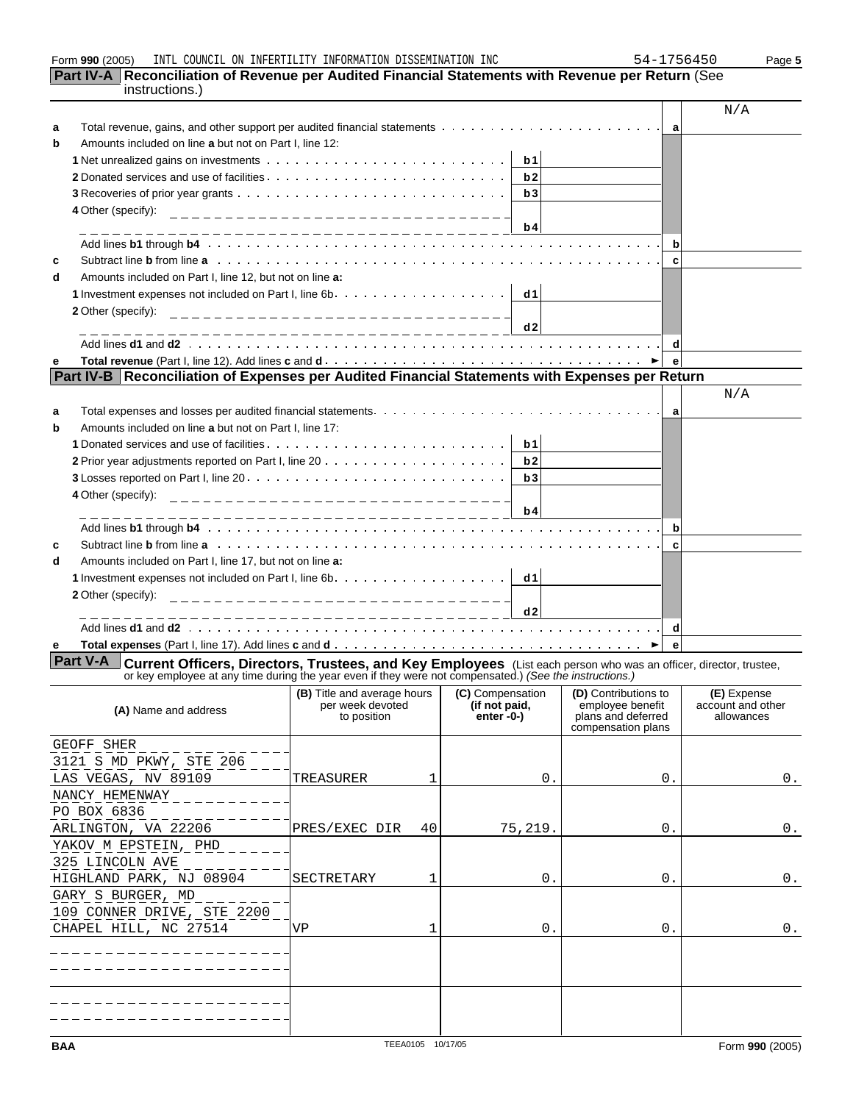| Form 990 (2005) | COUNCIL<br>IL ON<br>INTL | INFERTILITY | INFORMATION DISSEMINATION | INC | $\cdot$ , $\sim$<br>$\Delta -$<br>450 | Page 5 |
|-----------------|--------------------------|-------------|---------------------------|-----|---------------------------------------|--------|
|-----------------|--------------------------|-------------|---------------------------|-----|---------------------------------------|--------|

| 4 - | -1756450 |  |  |  |  |
|-----|----------|--|--|--|--|
|     |          |  |  |  |  |

| Part IV-A Reconciliation of Revenue per Audited Financial Statements with Revenue per Return (See<br>instructions.)                                                                                                                                 |                                                                       |                              |                                        |                                 |
|-----------------------------------------------------------------------------------------------------------------------------------------------------------------------------------------------------------------------------------------------------|-----------------------------------------------------------------------|------------------------------|----------------------------------------|---------------------------------|
|                                                                                                                                                                                                                                                     |                                                                       |                              |                                        | N/A                             |
| a                                                                                                                                                                                                                                                   |                                                                       |                              |                                        |                                 |
| Amounts included on line a but not on Part I, line 12:<br>b                                                                                                                                                                                         |                                                                       |                              |                                        |                                 |
|                                                                                                                                                                                                                                                     |                                                                       | b1                           |                                        |                                 |
|                                                                                                                                                                                                                                                     |                                                                       | b2                           |                                        |                                 |
|                                                                                                                                                                                                                                                     |                                                                       | b3                           |                                        |                                 |
| 4 Other (specify):                                                                                                                                                                                                                                  |                                                                       |                              |                                        |                                 |
|                                                                                                                                                                                                                                                     | ________________________________                                      | b4                           |                                        |                                 |
| Add lines b1 through b4 (a) and a contract of the contract of the contract of the contract of the contract of the contract of the contract of the contract of the contract of the contract of the contract of the contract of                       |                                                                       |                              | $\mathbf b$                            |                                 |
| Subtract line b from line a with the context of the context of the context of the context of the context of the context of the context of the context of the context of the context of the context of the context of the conte<br>c                 |                                                                       |                              | c                                      |                                 |
| Amounts included on Part I, line 12, but not on line a:<br>d                                                                                                                                                                                        |                                                                       |                              |                                        |                                 |
|                                                                                                                                                                                                                                                     |                                                                       | dd1                          |                                        |                                 |
| 2 Other (specify):                                                                                                                                                                                                                                  | ---------------------------------                                     |                              |                                        |                                 |
|                                                                                                                                                                                                                                                     |                                                                       | d2                           |                                        |                                 |
|                                                                                                                                                                                                                                                     |                                                                       |                              | d                                      |                                 |
| е                                                                                                                                                                                                                                                   |                                                                       |                              | $\mathbf{e}$                           |                                 |
| Part IV-B   Reconciliation of Expenses per Audited Financial Statements with Expenses per Return                                                                                                                                                    |                                                                       |                              |                                        |                                 |
|                                                                                                                                                                                                                                                     |                                                                       |                              |                                        | N/A                             |
| a                                                                                                                                                                                                                                                   |                                                                       |                              | a                                      |                                 |
| Amounts included on line a but not on Part I, line 17:<br>b                                                                                                                                                                                         |                                                                       |                              |                                        |                                 |
|                                                                                                                                                                                                                                                     |                                                                       | b1                           |                                        |                                 |
|                                                                                                                                                                                                                                                     |                                                                       | b2                           |                                        |                                 |
|                                                                                                                                                                                                                                                     |                                                                       | b3                           |                                        |                                 |
| 4 Other (specify):                                                                                                                                                                                                                                  | ____________________________________                                  |                              |                                        |                                 |
|                                                                                                                                                                                                                                                     |                                                                       | b4                           |                                        |                                 |
| Add lines b1 through b4 (a) and a contract of the contract of the contract of the contract of the contract of the contract of the contract of the contract of the contract of the contract of the contract of the contract of                       |                                                                       |                              | $\mathbf b$                            |                                 |
| Subtract line b from line a with the context of the context of the context of the context of the context of the context of the context of the context of the context of the context of the context of the context of the conte<br>c                 |                                                                       |                              | c                                      |                                 |
| Amounts included on Part I, line 17, but not on line a:<br>d                                                                                                                                                                                        |                                                                       |                              |                                        |                                 |
|                                                                                                                                                                                                                                                     |                                                                       |                              |                                        |                                 |
| 2 Other (specify):                                                                                                                                                                                                                                  |                                                                       |                              |                                        |                                 |
|                                                                                                                                                                                                                                                     |                                                                       | d2                           |                                        |                                 |
|                                                                                                                                                                                                                                                     |                                                                       |                              | d                                      |                                 |
| е                                                                                                                                                                                                                                                   |                                                                       |                              | $\mathbf{e}$                           |                                 |
| <b>Part V-A</b><br><b>Current Officers, Directors, Trustees, and Key Employees</b> (List each person who was an officer, director, trustee, or key employee at any time during the year even if they were not compensated.) (See the instructions.) |                                                                       |                              |                                        |                                 |
|                                                                                                                                                                                                                                                     | (B) Title and average hours   (C) Compensation   (D) Contributions to |                              |                                        | (E) Expense                     |
| (A) Name and address                                                                                                                                                                                                                                | per week devoted<br>to position                                       | (if not paid,<br>$enter -0-$ | employee benefit<br>plans and deferred | account and other<br>allowances |
|                                                                                                                                                                                                                                                     |                                                                       |                              | compensation plans                     |                                 |
| GEOFF SHER                                                                                                                                                                                                                                          |                                                                       |                              |                                        |                                 |
| 3121 S MD PKWY, STE 206                                                                                                                                                                                                                             |                                                                       |                              |                                        |                                 |
| LAS VEGAS, NV 89109                                                                                                                                                                                                                                 | TREASURER<br>1                                                        | 0.                           | 0.                                     | 0.                              |
| NANCY HEMENWAY                                                                                                                                                                                                                                      |                                                                       |                              |                                        |                                 |
| PO BOX 6836                                                                                                                                                                                                                                         |                                                                       |                              |                                        |                                 |
| ARLINGTON, VA 22206                                                                                                                                                                                                                                 | 40<br>PRES/EXEC DIR                                                   | 75,219.                      | Ο.                                     | 0.                              |
| YAKOV M EPSTEIN, PHD                                                                                                                                                                                                                                |                                                                       |                              |                                        |                                 |
| 325 LINCOLN AVE                                                                                                                                                                                                                                     |                                                                       |                              |                                        |                                 |
| HIGHLAND PARK, NJ 08904                                                                                                                                                                                                                             | SECTRETARY<br>1                                                       | 0.                           | Ο.                                     | 0.                              |
| GARY S BURGER, MD                                                                                                                                                                                                                                   |                                                                       |                              |                                        |                                 |
| 109 CONNER DRIVE, STE 2200                                                                                                                                                                                                                          |                                                                       |                              |                                        |                                 |
| CHAPEL HILL, NC 27514                                                                                                                                                                                                                               | VP<br>1                                                               | 0.                           | 0.                                     | 0.                              |
|                                                                                                                                                                                                                                                     |                                                                       |                              |                                        |                                 |
|                                                                                                                                                                                                                                                     |                                                                       |                              |                                        |                                 |
|                                                                                                                                                                                                                                                     |                                                                       |                              |                                        |                                 |
|                                                                                                                                                                                                                                                     |                                                                       |                              |                                        |                                 |
|                                                                                                                                                                                                                                                     |                                                                       |                              |                                        |                                 |
|                                                                                                                                                                                                                                                     |                                                                       |                              |                                        |                                 |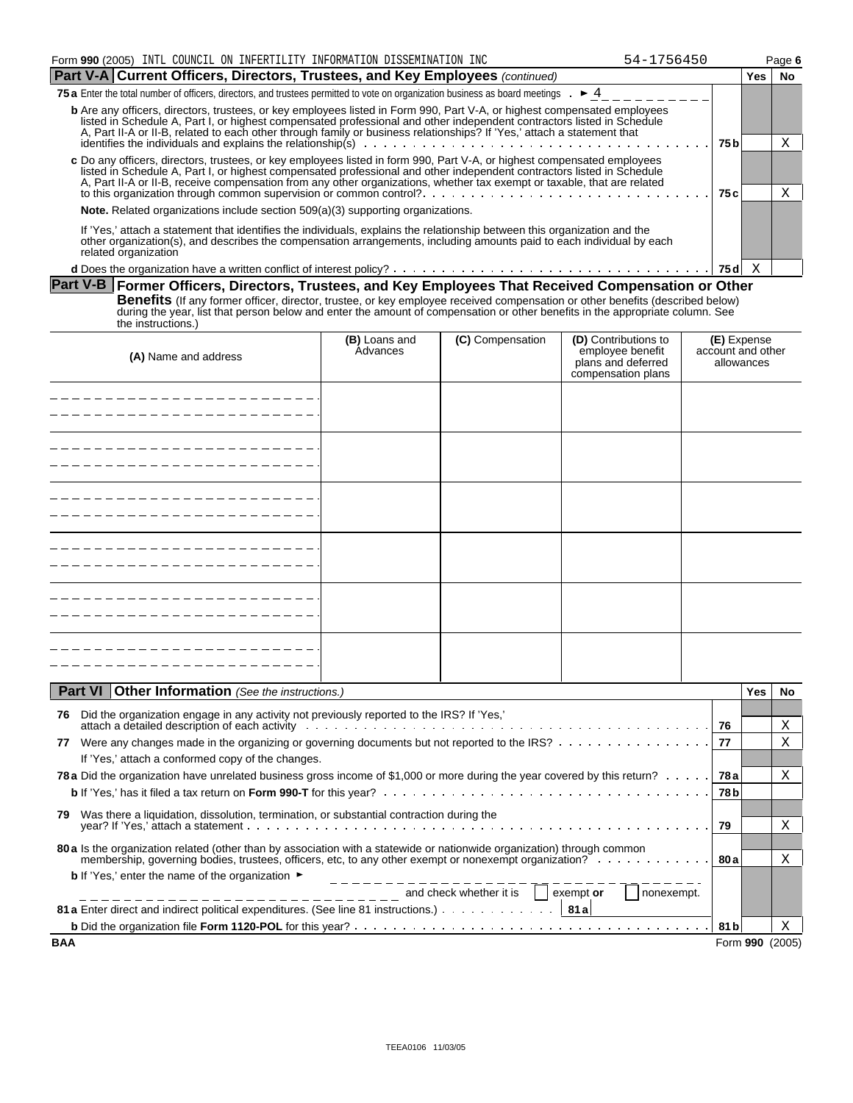| Form 990 (2005) INTL COUNCIL ON INFERTILITY INFORMATION DISSEMINATION INC                                                                                                                                                                                                                                                                                                                           |                |                  | 54-1756450                                                   |                   |                 | Page 6 |  |  |  |  |
|-----------------------------------------------------------------------------------------------------------------------------------------------------------------------------------------------------------------------------------------------------------------------------------------------------------------------------------------------------------------------------------------------------|----------------|------------------|--------------------------------------------------------------|-------------------|-----------------|--------|--|--|--|--|
| Part V-A Current Officers, Directors, Trustees, and Key Employees (continued)                                                                                                                                                                                                                                                                                                                       |                |                  |                                                              |                   | Yes             | No     |  |  |  |  |
| 75 a Enter the total number of officers, directors, and trustees permitted to vote on organization business as board meetings $\cdot$ $\blacktriangleright$ 4                                                                                                                                                                                                                                       |                |                  |                                                              |                   |                 |        |  |  |  |  |
| <b>b</b> Are any officers, directors, trustees, or key employees listed in Form 990, Part V-A, or highest compensated employees<br>listed in Schedule A, Part I, or highest compensated professional and other independent contractors listed in Schedule<br>A, Part II-A or II-B, related to each other through family or business relationships? If 'Yes,' attach a statement that                |                |                  |                                                              | 75 b              |                 | Χ      |  |  |  |  |
| c Do any officers, directors, trustees, or key employees listed in form 990, Part V-A, or highest compensated employees<br>listed in Schedule A, Part I, or highest compensated professional and other independent contractors listed in Schedule<br>A, Part II-A or II-B, receive compensation from any other organizations, whether tax exempt or taxable, that are related                       | 75 c           |                  | Χ                                                            |                   |                 |        |  |  |  |  |
| <b>Note.</b> Related organizations include section 509(a)(3) supporting organizations.                                                                                                                                                                                                                                                                                                              |                |                  |                                                              |                   |                 |        |  |  |  |  |
| If 'Yes,' attach a statement that identifies the individuals, explains the relationship between this organization and the<br>other organization(s), and describes the compensation arrangements, including amounts paid to each individual by each<br>related organization                                                                                                                          |                |                  |                                                              |                   |                 |        |  |  |  |  |
|                                                                                                                                                                                                                                                                                                                                                                                                     |                |                  |                                                              | 75 $d \times$     |                 |        |  |  |  |  |
| Part V-B Former Officers, Directors, Trustees, and Key Employees That Received Compensation or Other<br><b>Benefits</b> (If any former officer, director, trustee, or key employee received compensation or other benefits (described below)<br>during the year, list that person below and enter the amount of compensation or other benefits in the appropriate column. See<br>the instructions.) | (B) Loans and  | (C) Compensation | (D) Contributions to                                         | (E) Expense       |                 |        |  |  |  |  |
| (A) Name and address                                                                                                                                                                                                                                                                                                                                                                                | Advances       |                  | employee benefit<br>plans and deferred<br>compensation plans | account and other | allowances      |        |  |  |  |  |
| _ _ _ _ _ _ _ _ _ _ _ _ _ _ _ _ _ _                                                                                                                                                                                                                                                                                                                                                                 |                |                  |                                                              |                   |                 |        |  |  |  |  |
| -------------------                                                                                                                                                                                                                                                                                                                                                                                 |                |                  |                                                              |                   |                 |        |  |  |  |  |
|                                                                                                                                                                                                                                                                                                                                                                                                     |                |                  |                                                              |                   |                 |        |  |  |  |  |
| -------------------                                                                                                                                                                                                                                                                                                                                                                                 |                |                  |                                                              |                   |                 |        |  |  |  |  |
| -------------------                                                                                                                                                                                                                                                                                                                                                                                 |                |                  |                                                              |                   |                 |        |  |  |  |  |
|                                                                                                                                                                                                                                                                                                                                                                                                     |                |                  |                                                              |                   |                 |        |  |  |  |  |
|                                                                                                                                                                                                                                                                                                                                                                                                     |                |                  |                                                              |                   |                 |        |  |  |  |  |
| Part VI<br>Other Information (See the instructions.)                                                                                                                                                                                                                                                                                                                                                |                |                  |                                                              |                   | Yes             | No     |  |  |  |  |
|                                                                                                                                                                                                                                                                                                                                                                                                     |                |                  |                                                              |                   |                 |        |  |  |  |  |
| 76 Did the organization engage in any activity not previously reported to the IRS? If 'Yes,'<br>attach a detailed description of each activity entering the content of the content of the content of the content of the content of the content of the content of the content of the content of the content of the content of t                                                                      |                |                  |                                                              | 76                |                 | Χ      |  |  |  |  |
| Were any changes made in the organizing or governing documents but not reported to the IRS?<br>77<br>If 'Yes,' attach a conformed copy of the changes.                                                                                                                                                                                                                                              |                |                  |                                                              | -77               |                 | Χ      |  |  |  |  |
| 78 a Did the organization have unrelated business gross income of \$1,000 or more during the year covered by this return?                                                                                                                                                                                                                                                                           |                |                  |                                                              | 78 a<br>78 b      |                 | Χ      |  |  |  |  |
| Was there a liquidation, dissolution, termination, or substantial contraction during the<br>79.                                                                                                                                                                                                                                                                                                     |                |                  |                                                              | 79                |                 | Χ      |  |  |  |  |
| 80 a Is the organization related (other than by association with a statewide or nationwide organization) through common<br>membership, governing bodies, trustees, officers, etc, to any other exempt or nonexempt organization?                                                                                                                                                                    |                |                  |                                                              | 80 a              |                 | Χ      |  |  |  |  |
| <b>b</b> If 'Yes,' enter the name of the organization $\blacktriangleright$<br>$\frac{1}{2}$ and check whether it is $\Box$ exempt or                                                                                                                                                                                                                                                               | ______________ |                  | nonexempt.                                                   |                   |                 |        |  |  |  |  |
| 81 a Enter direct and indirect political expenditures. (See line 81 instructions.)   81 a                                                                                                                                                                                                                                                                                                           |                |                  |                                                              | 81 bl             |                 | Χ      |  |  |  |  |
| <b>BAA</b>                                                                                                                                                                                                                                                                                                                                                                                          |                |                  |                                                              |                   | Form 990 (2005) |        |  |  |  |  |
|                                                                                                                                                                                                                                                                                                                                                                                                     |                |                  |                                                              |                   |                 |        |  |  |  |  |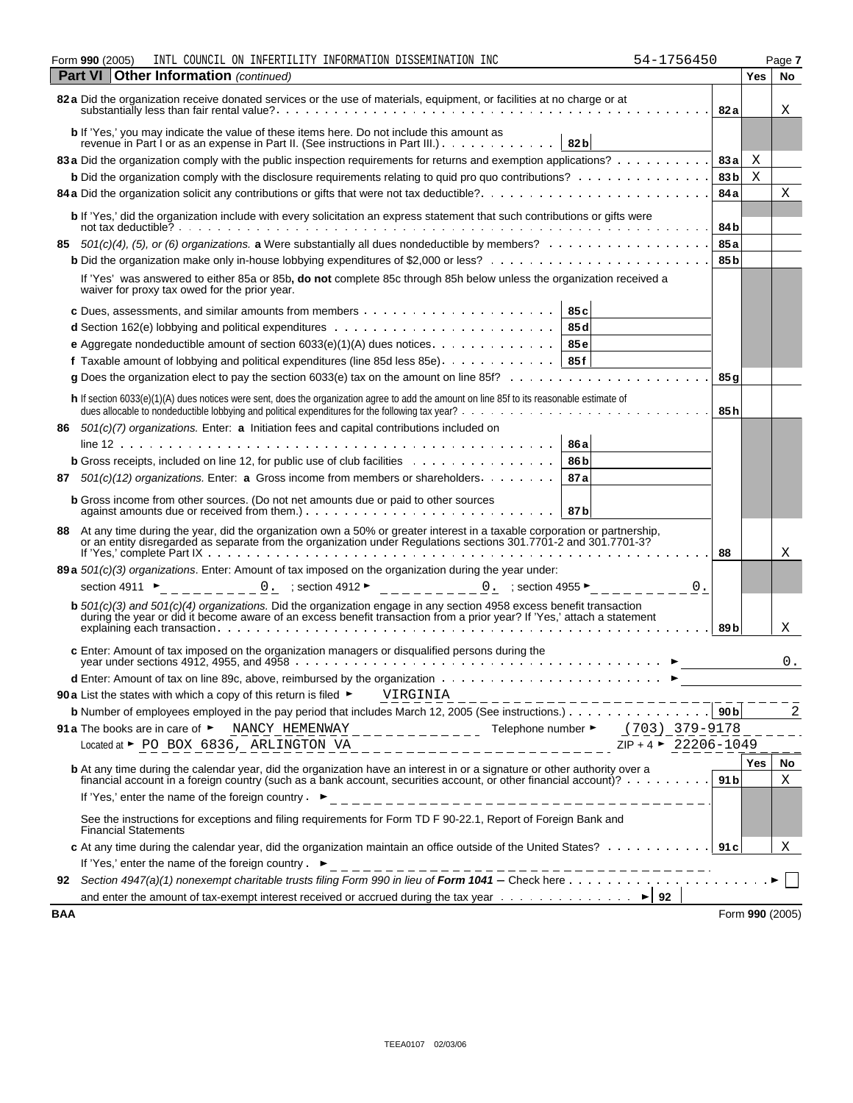| 990<br>Form | 1200F<br>וחדר־<br>$\pm 1$ N $\pm 1$<br><b>LAUUJ</b> | COUNCIL<br>ON | ים שחידי<br>TDE EKT | ____<br>TNFORMA.<br>הרר<br>$\pm$ UN | DISSEMINATION | INC | $\overline{\phantom{a}}$<br>$\sqrt{2}$ | Page |
|-------------|-----------------------------------------------------|---------------|---------------------|-------------------------------------|---------------|-----|----------------------------------------|------|
|             |                                                     |               |                     |                                     |               |     |                                        |      |

|     | <b>Part VI   Other Information (continued)</b>                                                                                                                                                                                     |                 | Yes | No              |
|-----|------------------------------------------------------------------------------------------------------------------------------------------------------------------------------------------------------------------------------------|-----------------|-----|-----------------|
|     | 82 a Did the organization receive donated services or the use of materials, equipment, or facilities at no charge or at                                                                                                            | 82 a            |     | Χ               |
|     | <b>b</b> If 'Yes,' you may indicate the value of these items here. Do not include this amount as<br>82 <sub>b</sub><br>revenue in Part I or as an expense in Part II. (See instructions in Part III.)                              |                 |     |                 |
|     | 83 a Did the organization comply with the public inspection requirements for returns and exemption applications?                                                                                                                   | 83 a            | Χ   |                 |
|     | <b>b</b> Did the organization comply with the disclosure requirements relating to quid pro quo contributions?                                                                                                                      | 83 <sub>b</sub> | X   |                 |
|     |                                                                                                                                                                                                                                    | 84 a            |     | Χ               |
|     | b If 'Yes,' did the organization include with every solicitation an express statement that such contributions or gifts were                                                                                                        | 84b             |     |                 |
| 85. | 501(c)(4), (5), or (6) organizations. a Were substantially all dues nondeductible by members?                                                                                                                                      | 85a             |     |                 |
|     |                                                                                                                                                                                                                                    | 85 <sub>b</sub> |     |                 |
|     | If 'Yes' was answered to either 85a or 85b, do not complete 85c through 85h below unless the organization received a<br>waiver for proxy tax owed for the prior year.                                                              |                 |     |                 |
|     | 85c                                                                                                                                                                                                                                |                 |     |                 |
|     | 85 d                                                                                                                                                                                                                               |                 |     |                 |
|     | <b>e</b> Aggregate nondeductible amount of section $6033(e)(1)(A)$ dues notices. 85e                                                                                                                                               |                 |     |                 |
|     | f Taxable amount of lobbying and political expenditures (line 85d less 85e). 85f                                                                                                                                                   |                 |     |                 |
|     |                                                                                                                                                                                                                                    | 85 g            |     |                 |
|     |                                                                                                                                                                                                                                    |                 |     |                 |
|     | h If section 6033(e)(1)(A) dues notices were sent, does the organization agree to add the amount on line 85f to its reasonable estimate of                                                                                         | 85 h            |     |                 |
|     | 86 501(c)(7) organizations. Enter: a Initiation fees and capital contributions included on                                                                                                                                         |                 |     |                 |
|     | 86 a                                                                                                                                                                                                                               |                 |     |                 |
|     | <b>b</b> Gross receipts, included on line 12, for public use of club facilities<br>86 b                                                                                                                                            |                 |     |                 |
| 87  | $501(c)(12)$ organizations. Enter: a Gross income from members or shareholders.<br>87a                                                                                                                                             |                 |     |                 |
|     | <b>b</b> Gross income from other sources. (Do not net amounts due or paid to other sources<br>87b                                                                                                                                  |                 |     |                 |
|     | 88 At any time during the year, did the organization own a 50% or greater interest in a taxable corporation or partnership, or an entity disregarded as separate from the organization under Regulations sections 301.7701-2 a     | 88              |     | Χ               |
|     | 89 a 501(c)(3) organizations. Enter: Amount of tax imposed on the organization during the year under:                                                                                                                              |                 |     |                 |
|     | 0.<br>section 4911 ►                                                                                                                                                                                                               |                 |     |                 |
|     |                                                                                                                                                                                                                                    |                 |     |                 |
|     | b 501(c)(3) and 501(c)(4) organizations. Did the organization engage in any section 4958 excess benefit transaction<br>during the year or did it become aware of an excess benefit transaction from a prior year? If 'Yes,' attac  | 89 <sub>b</sub> |     | X               |
|     | c Enter: Amount of tax imposed on the organization managers or disqualified persons during the                                                                                                                                     |                 |     | 0.              |
|     |                                                                                                                                                                                                                                    |                 |     |                 |
|     | 90 a List the states with which a copy of this return is filed $\blacktriangleright$ VIRGINIA                                                                                                                                      |                 |     |                 |
|     |                                                                                                                                                                                                                                    |                 |     | 2               |
|     | NANCY_HEMENWAY______________ Telephone number $\blacktriangleright$ (703) 379-9178<br>91 a The books are in care of ►                                                                                                              |                 |     |                 |
|     | $------------------ 2IP + 4$ > 22206-1049<br>Located at ► PO BOX 6836, ARLINGTON VA                                                                                                                                                |                 |     |                 |
|     | <b>b</b> At any time during the calendar year, did the organization have an interest in or a signature or other authority over a financial account in a foreign country (such as a bank account, securities account, or other fina |                 | Yes | No<br>Χ         |
|     | If 'Yes,' enter the name of the foreign country. $\triangleright$                                                                                                                                                                  |                 |     |                 |
|     | See the instructions for exceptions and filing requirements for Form TD F 90-22.1, Report of Foreign Bank and<br><b>Financial Statements</b>                                                                                       |                 |     |                 |
|     | c At any time during the calendar year, did the organization maintain an office outside of the United States? 91 c                                                                                                                 |                 |     | Χ               |
|     |                                                                                                                                                                                                                                    |                 |     |                 |
|     |                                                                                                                                                                                                                                    |                 |     |                 |
|     | and enter the amount of tax-exempt interest received or accrued during the tax year $\dots \dots \dots \dots$                                                                                                                      |                 |     |                 |
| BAA |                                                                                                                                                                                                                                    |                 |     | Form 990 (2005) |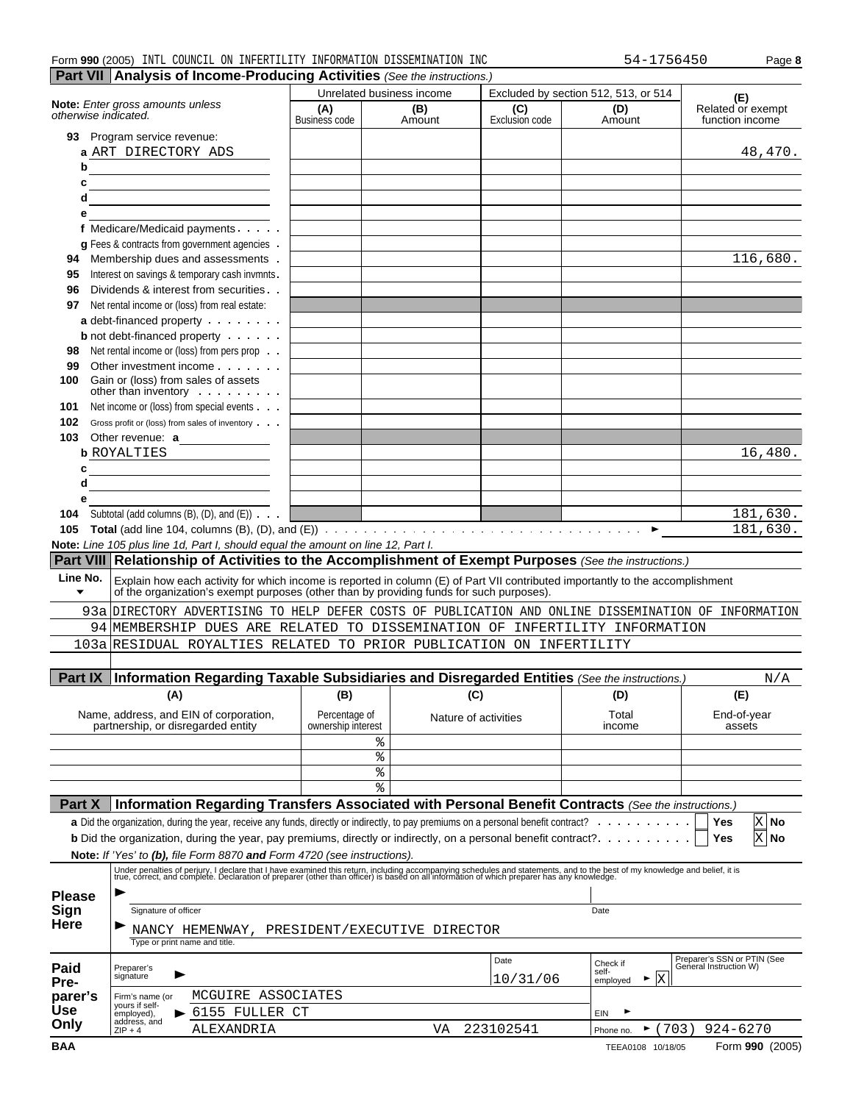| INFORMATION DISSEMINATION<br>INC<br>990(2005)<br>COUNCIL<br>INFERTILITY<br>INTL<br>ON<br>Form<br>56/16<br>54 – | Paqe 8 |
|----------------------------------------------------------------------------------------------------------------|--------|
|----------------------------------------------------------------------------------------------------------------|--------|

|--|--|

|                                                                                       |                                                                                                                                                                                                                                      |                                     | Unrelated business income |                       | Excluded by section 512, 513, or 514 | (E)                                                   |
|---------------------------------------------------------------------------------------|--------------------------------------------------------------------------------------------------------------------------------------------------------------------------------------------------------------------------------------|-------------------------------------|---------------------------|-----------------------|--------------------------------------|-------------------------------------------------------|
| otherwise indicated.                                                                  | Note: Enter gross amounts unless                                                                                                                                                                                                     | (A)<br><b>Business code</b>         | (B)<br>Amount             | (C)<br>Exclusion code | (D)<br>Amount                        | Related or exempt<br>function income                  |
|                                                                                       | 93 Program service revenue:                                                                                                                                                                                                          |                                     |                           |                       |                                      |                                                       |
|                                                                                       | a ART DIRECTORY ADS                                                                                                                                                                                                                  |                                     |                           |                       |                                      | 48,470.                                               |
| b                                                                                     |                                                                                                                                                                                                                                      |                                     |                           |                       |                                      |                                                       |
| c                                                                                     |                                                                                                                                                                                                                                      |                                     |                           |                       |                                      |                                                       |
| d                                                                                     | <u> 1989 - Johann Barbara, martin a bhann an t-Alban an t-Alban an t-Alban an t-Alban an t-Alban an t-Alban an t-Alban an t-Alban an t-Alban an t-Alban an t-Alban an t-Alban an t-Alban an t-Alban an t-Alban an t-Alban an t-A</u> |                                     |                           |                       |                                      |                                                       |
| е                                                                                     |                                                                                                                                                                                                                                      |                                     |                           |                       |                                      |                                                       |
|                                                                                       | f Medicare/Medicaid payments                                                                                                                                                                                                         |                                     |                           |                       |                                      |                                                       |
|                                                                                       | g Fees & contracts from government agencies.                                                                                                                                                                                         |                                     |                           |                       |                                      |                                                       |
| 94                                                                                    | Membership dues and assessments.                                                                                                                                                                                                     |                                     |                           |                       |                                      | 116,680.                                              |
| 95                                                                                    | Interest on savings & temporary cash invmnts.                                                                                                                                                                                        |                                     |                           |                       |                                      |                                                       |
| 96                                                                                    | Dividends & interest from securities                                                                                                                                                                                                 |                                     |                           |                       |                                      |                                                       |
| 97                                                                                    | Net rental income or (loss) from real estate:                                                                                                                                                                                        |                                     |                           |                       |                                      |                                                       |
|                                                                                       | a debt-financed property                                                                                                                                                                                                             |                                     |                           |                       |                                      |                                                       |
|                                                                                       | <b>b</b> not debt-financed property $\cdots$                                                                                                                                                                                         |                                     |                           |                       |                                      |                                                       |
| 98                                                                                    | Net rental income or (loss) from pers prop                                                                                                                                                                                           |                                     |                           |                       |                                      |                                                       |
| 99                                                                                    | Other investment income                                                                                                                                                                                                              |                                     |                           |                       |                                      |                                                       |
| 100                                                                                   | Gain or (loss) from sales of assets<br>other than inventory                                                                                                                                                                          |                                     |                           |                       |                                      |                                                       |
| 101                                                                                   | Net income or (loss) from special events                                                                                                                                                                                             |                                     |                           |                       |                                      |                                                       |
| 102                                                                                   | Gross profit or (loss) from sales of inventory                                                                                                                                                                                       |                                     |                           |                       |                                      |                                                       |
| 103                                                                                   | Other revenue: a                                                                                                                                                                                                                     |                                     |                           |                       |                                      |                                                       |
|                                                                                       | <b>b</b> ROYALTIES                                                                                                                                                                                                                   |                                     |                           |                       |                                      | 16,480.                                               |
| c<br>d                                                                                |                                                                                                                                                                                                                                      |                                     |                           |                       |                                      |                                                       |
| е                                                                                     | <u> 1980 - Johann Barbara, martin a</u>                                                                                                                                                                                              |                                     |                           |                       |                                      |                                                       |
|                                                                                       |                                                                                                                                                                                                                                      |                                     |                           |                       |                                      | 181,630.                                              |
|                                                                                       |                                                                                                                                                                                                                                      |                                     |                           |                       |                                      |                                                       |
| 104                                                                                   | Subtotal (add columns $(B)$ , $(D)$ , and $(E)$ ) $\cdots$                                                                                                                                                                           |                                     |                           |                       |                                      |                                                       |
| 105                                                                                   |                                                                                                                                                                                                                                      |                                     |                           |                       |                                      |                                                       |
|                                                                                       | Note: Line 105 plus line 1d, Part I, should equal the amount on line 12, Part I.                                                                                                                                                     |                                     |                           |                       |                                      |                                                       |
|                                                                                       | Part VIII Relationship of Activities to the Accomplishment of Exempt Purposes (See the instructions.)                                                                                                                                |                                     |                           |                       |                                      |                                                       |
|                                                                                       |                                                                                                                                                                                                                                      |                                     |                           |                       |                                      |                                                       |
| ▼                                                                                     | Explain how each activity for which income is reported in column (E) of Part VII contributed importantly to the accomplishment of the organization's exempt purposes (other than by providing funds for such purposes).              |                                     |                           |                       |                                      |                                                       |
|                                                                                       | 93a DIRECTORY ADVERTISING TO HELP DEFER COSTS OF PUBLICATION AND ONLINE DISSEMINATION OF INFORMATION                                                                                                                                 |                                     |                           |                       |                                      |                                                       |
|                                                                                       | 94 MEMBERSHIP DUES ARE RELATED TO DISSEMINATION OF INFERTILITY INFORMATION                                                                                                                                                           |                                     |                           |                       |                                      |                                                       |
|                                                                                       | 103a RESIDUAL ROYALTIES RELATED TO PRIOR PUBLICATION ON INFERTILITY                                                                                                                                                                  |                                     |                           |                       |                                      |                                                       |
|                                                                                       |                                                                                                                                                                                                                                      |                                     |                           |                       |                                      |                                                       |
|                                                                                       | Part IX   Information Regarding Taxable Subsidiaries and Disregarded Entities (See the instructions.)                                                                                                                                |                                     |                           |                       |                                      |                                                       |
|                                                                                       | (A)                                                                                                                                                                                                                                  | (B)                                 |                           | (C)                   | (D)                                  | (E)                                                   |
|                                                                                       |                                                                                                                                                                                                                                      |                                     |                           |                       |                                      |                                                       |
|                                                                                       | Name, address, and EIN of corporation,<br>partnership, or disregarded entity                                                                                                                                                         | Percentage of<br>ownership interest |                           | Nature of activities  | Total<br>income                      | End-of-year<br>assets                                 |
|                                                                                       |                                                                                                                                                                                                                                      |                                     | န့                        |                       |                                      |                                                       |
|                                                                                       |                                                                                                                                                                                                                                      |                                     | ៖                         |                       |                                      |                                                       |
|                                                                                       |                                                                                                                                                                                                                                      |                                     | ್ಠಿ                       |                       |                                      |                                                       |
|                                                                                       |                                                                                                                                                                                                                                      |                                     | နွ                        |                       |                                      | 181,630.<br>N/A                                       |
| Line No.<br>Part X                                                                    | Information Regarding Transfers Associated with Personal Benefit Contracts (See the instructions.)                                                                                                                                   |                                     |                           |                       |                                      |                                                       |
|                                                                                       |                                                                                                                                                                                                                                      |                                     |                           |                       |                                      | X No<br>Yes                                           |
|                                                                                       | <b>b</b> Did the organization, during the year, pay premiums, directly or indirectly, on a personal benefit contract?                                                                                                                |                                     |                           |                       |                                      | X No<br>Yes                                           |
|                                                                                       | Note: If 'Yes' to (b), file Form 8870 and Form 4720 (see instructions).                                                                                                                                                              |                                     |                           |                       |                                      |                                                       |
|                                                                                       |                                                                                                                                                                                                                                      |                                     |                           |                       |                                      |                                                       |
|                                                                                       | Under penalties of perjury, I declare that I have examined this return, including accompanying schedules and statements, and to the best of my knowledge and belief, it is<br>true, correct, and complete. Declaration of prepare    |                                     |                           |                       |                                      |                                                       |
|                                                                                       |                                                                                                                                                                                                                                      |                                     |                           |                       |                                      |                                                       |
|                                                                                       | Signature of officer                                                                                                                                                                                                                 |                                     |                           |                       | Date                                 |                                                       |
|                                                                                       | NANCY HEMENWAY, PRESIDENT/EXECUTIVE DIRECTOR                                                                                                                                                                                         |                                     |                           |                       |                                      |                                                       |
|                                                                                       | Type or print name and title.                                                                                                                                                                                                        |                                     |                           |                       |                                      |                                                       |
|                                                                                       |                                                                                                                                                                                                                                      |                                     |                           | Date                  | Check if                             |                                                       |
|                                                                                       | Preparer's<br>▶<br>signature                                                                                                                                                                                                         |                                     |                           |                       | self-<br>►                           | Preparer's SSN or PTIN (See<br>General Instruction W) |
|                                                                                       |                                                                                                                                                                                                                                      |                                     |                           | 10/31/06              | X<br>employed                        |                                                       |
|                                                                                       | MCGUIRE ASSOCIATES<br>Firm's name (or<br>yours if self-                                                                                                                                                                              |                                     |                           |                       |                                      |                                                       |
| <b>Please</b><br>Sign<br><b>Here</b><br>Paid<br>Pre-<br>parer's<br><b>Use</b><br>Only | 6155 FULLER CT<br>employed),<br>address, and<br>ALEXANDRIA<br>$ZIP + 4$                                                                                                                                                              |                                     | VA                        | 223102541             | EIN<br>(703)<br>Phone no.            | $924 - 6270$                                          |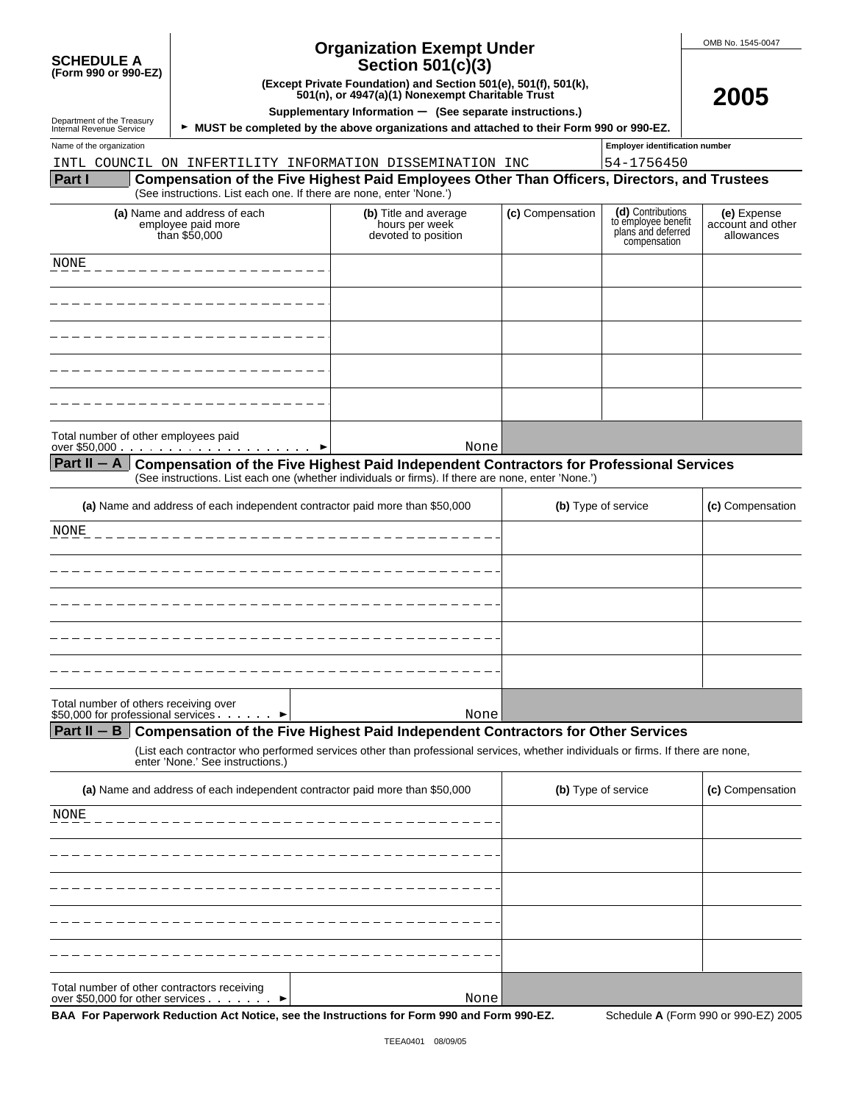| <b>SCHEDULE A</b>    |  |  |
|----------------------|--|--|
| (Form 990 or 990-EZ) |  |  |

## **Organization Exempt Under Section 501(c)(3)**

**(Except Private Foundation) and Section 501(e), 501(f), 501(k), 501(n), or 4947(a)(1) Nonexempt Charitable Trust**

OMB No. 1545-0047

**2005**

Department of the Treasury<br>Internal Revenue Service

**Supplementary Information** ' **(See separate instructions.)**

**MUST be completed by the above organizations and attached to their Form 990 or 990-EZ.** 

Name of the organization **number Employer identification number Employer identification number** 

INTL COUNCIL ON INFERTILITY INFORMATION DISSEMINATION INC

| 54-1756450 |
|------------|
|------------|

#### **Part I Compensation of the Five Highest Paid Employees Other Than Officers, Directors, and Trustees** (See instructions. List each one. If there are none, enter 'None.')

| (a) Name and address of each<br>employee paid more<br>than \$50,000 | (b) Title and average<br>hours per week<br>devoted to position | (c) Compensation | (d) Contributions<br>to employee benefit<br>plans and deferred<br>compensation | (e) Expense<br>account and other<br>allowances |
|---------------------------------------------------------------------|----------------------------------------------------------------|------------------|--------------------------------------------------------------------------------|------------------------------------------------|
| NONE                                                                |                                                                |                  |                                                                                |                                                |
|                                                                     |                                                                |                  |                                                                                |                                                |
|                                                                     |                                                                |                  |                                                                                |                                                |
|                                                                     |                                                                |                  |                                                                                |                                                |
|                                                                     |                                                                |                  |                                                                                |                                                |
|                                                                     | None                                                           |                  |                                                                                |                                                |

#### Part II – A Compensation of the Five Highest Paid Independent Contractors for Professional Services (See instructions. List each one (whether individuals or firms). If there are none, enter 'None.')

| (a) Name and address of each independent contractor paid more than \$50,000            | (b) Type of service | (c) Compensation |
|----------------------------------------------------------------------------------------|---------------------|------------------|
| NONE<br>. <u>_ _ _ _ _ _ _ _ _ _ _ _ _ _ _ _</u> _ _                                   |                     |                  |
|                                                                                        |                     |                  |
|                                                                                        |                     |                  |
|                                                                                        |                     |                  |
|                                                                                        |                     |                  |
| Total number of others receiving over<br>\$50,000 for professional services ▶<br>Nonel |                     |                  |

| <b>Potar Harnbor or othoro roooning over</b><br>\$50,000 for professional services. |  |  |  |
|-------------------------------------------------------------------------------------|--|--|--|
|                                                                                     |  |  |  |

# **Part II – B** Compensation of the Five Highest Paid Independent Contractors for Other Services

(List each contractor who performed services other than professional services, whether individuals or firms. If there are none, enter 'None.' See instructions.)

| (a) Name and address of each independent contractor paid more than \$50,000                      | (c) Compensation<br>(b) Type of service |
|--------------------------------------------------------------------------------------------------|-----------------------------------------|
| NONE                                                                                             |                                         |
|                                                                                                  |                                         |
|                                                                                                  |                                         |
|                                                                                                  |                                         |
|                                                                                                  |                                         |
| Total number of other contractors receiving<br>over \$50,000 for other services $\cdots$<br>None |                                         |

**BAA For Paperwork Reduction Act Notice, see the Instructions for Form 990 and Form 990-EZ.** Schedule **A** (Form 990 or 990-EZ) 2005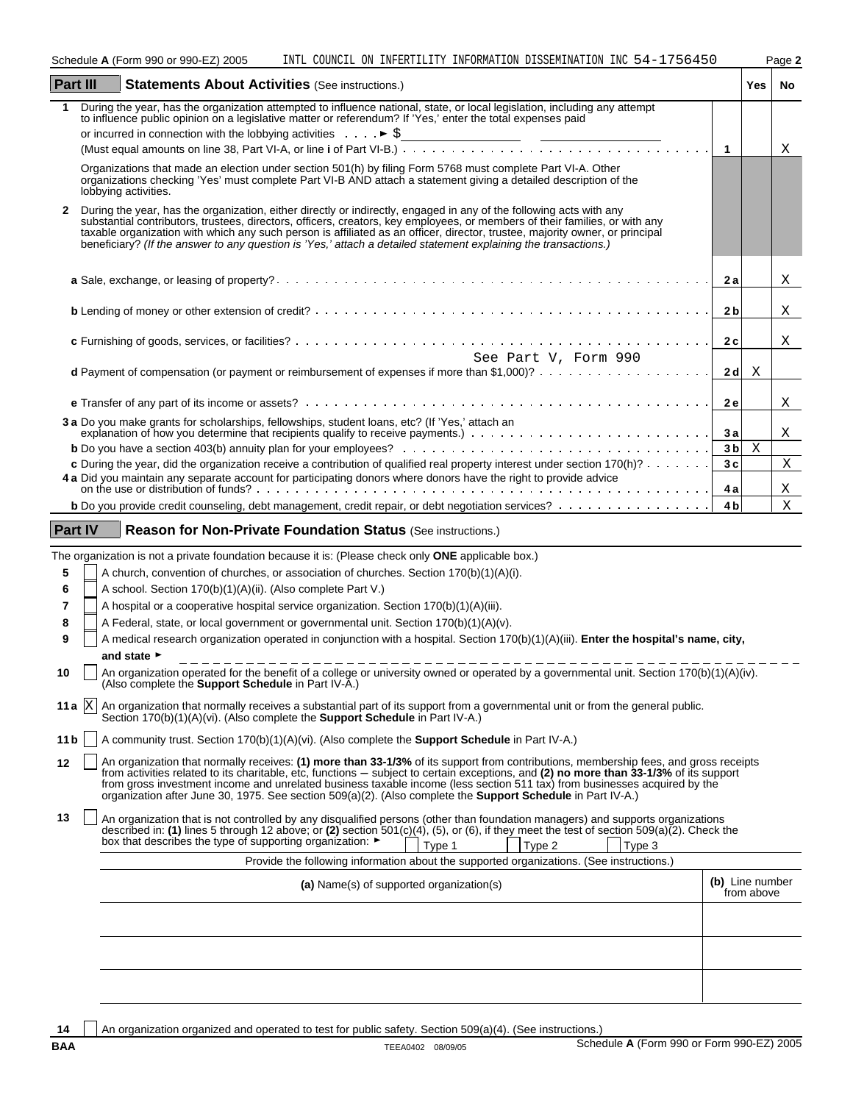Schedule A (Form 990 or 990-EZ) 2005 INTL COUNCIL ON INFERTILITY INFORMATION DISSEMINATION INC 54-1756450 Page 2

| Part III       | <b>Statements About Activities (See instructions.)</b>                                                                                                                                                                                                                                                                                                                                                                                                                                                                            | Yes                           | No |  |
|----------------|-----------------------------------------------------------------------------------------------------------------------------------------------------------------------------------------------------------------------------------------------------------------------------------------------------------------------------------------------------------------------------------------------------------------------------------------------------------------------------------------------------------------------------------|-------------------------------|----|--|
| 1              | During the year, has the organization attempted to influence national, state, or local legislation, including any attempt<br>to influence public opinion on a legislative matter or referendum? If 'Yes,' enter the total expenses paid                                                                                                                                                                                                                                                                                           |                               |    |  |
|                |                                                                                                                                                                                                                                                                                                                                                                                                                                                                                                                                   |                               |    |  |
|                | or incurred in connection with the lobbying activities $\ldots$ $\blacktriangleright$ \$                                                                                                                                                                                                                                                                                                                                                                                                                                          | $\overline{1}$                | Χ  |  |
|                | Organizations that made an election under section 501(h) by filing Form 5768 must complete Part VI-A. Other<br>organizations checking 'Yes' must complete Part VI-B AND attach a statement giving a detailed description of the                                                                                                                                                                                                                                                                                                   |                               |    |  |
|                | lobbying activities.                                                                                                                                                                                                                                                                                                                                                                                                                                                                                                              |                               |    |  |
| $\mathbf{2}$   | During the year, has the organization, either directly or indirectly, engaged in any of the following acts with any<br>substantial contributors, trustees, directors, officers, creators, key employees, or members of their families, or with any<br>taxable organization with which any such person is affiliated as an officer, director, trustee, majority owner, or principal<br>beneficiary? (If the answer to any question is 'Yes,' attach a detailed statement explaining the transactions.)                             |                               |    |  |
|                |                                                                                                                                                                                                                                                                                                                                                                                                                                                                                                                                   | 2а                            | Χ  |  |
|                |                                                                                                                                                                                                                                                                                                                                                                                                                                                                                                                                   | 2 <sub>b</sub>                | Χ  |  |
|                | See Part V, Form 990                                                                                                                                                                                                                                                                                                                                                                                                                                                                                                              | 2c                            | Χ  |  |
|                |                                                                                                                                                                                                                                                                                                                                                                                                                                                                                                                                   | 2 d<br>X                      |    |  |
|                |                                                                                                                                                                                                                                                                                                                                                                                                                                                                                                                                   | <b>2e</b>                     | Χ  |  |
|                | 3 a Do you make grants for scholarships, fellowships, student loans, etc? (If 'Yes,' attach an                                                                                                                                                                                                                                                                                                                                                                                                                                    |                               |    |  |
|                | explanation of how you determine that recipients qualify to receive payments.)                                                                                                                                                                                                                                                                                                                                                                                                                                                    | 3a                            | Χ  |  |
|                | <b>b</b> Do you have a section 403(b) annuity plan for your employees? $\ldots \ldots \ldots \ldots \ldots \ldots \ldots \ldots \ldots \ldots \ldots \ldots \ldots$<br>c During the year, did the organization receive a contribution of qualified real property interest under section 170(h)?                                                                                                                                                                                                                                   | X<br>3 <sub>b</sub><br>3c     | X  |  |
|                | 4 a Did you maintain any separate account for participating donors where donors have the right to provide advice<br>on the use or distribution of funds?                                                                                                                                                                                                                                                                                                                                                                          | 4 a                           | Χ  |  |
|                | <b>b</b> Do you provide credit counseling, debt management, credit repair, or debt negotiation services?                                                                                                                                                                                                                                                                                                                                                                                                                          | 4 <sub>b</sub>                | X  |  |
| <b>Part IV</b> | <b>Reason for Non-Private Foundation Status (See instructions.)</b>                                                                                                                                                                                                                                                                                                                                                                                                                                                               |                               |    |  |
|                | The organization is not a private foundation because it is: (Please check only <b>ONE</b> applicable box.)                                                                                                                                                                                                                                                                                                                                                                                                                        |                               |    |  |
| 5              | A church, convention of churches, or association of churches. Section 170(b)(1)(A)(i).                                                                                                                                                                                                                                                                                                                                                                                                                                            |                               |    |  |
| 6              | A school. Section 170(b)(1)(A)(ii). (Also complete Part V.)                                                                                                                                                                                                                                                                                                                                                                                                                                                                       |                               |    |  |
| 7              | A hospital or a cooperative hospital service organization. Section 170(b)(1)(A)(iii).                                                                                                                                                                                                                                                                                                                                                                                                                                             |                               |    |  |
| 8              | A Federal, state, or local government or governmental unit. Section 170(b)(1)(A)(v).                                                                                                                                                                                                                                                                                                                                                                                                                                              |                               |    |  |
| 9              | A medical research organization operated in conjunction with a hospital. Section 170(b)(1)(A)(iii). Enter the hospital's name, city,                                                                                                                                                                                                                                                                                                                                                                                              |                               |    |  |
|                | and state ►                                                                                                                                                                                                                                                                                                                                                                                                                                                                                                                       |                               |    |  |
| 10             | An organization operated for the benefit of a college or university owned or operated by a governmental unit. Section 170(b)(1)(A)(iv).<br>(Also complete the <b>Support Schedule</b> in Part IV-A.)                                                                                                                                                                                                                                                                                                                              |                               |    |  |
|                | 11 a $ X $ An organization that normally receives a substantial part of its support from a governmental unit or from the general public.<br>Section 170(b)(1)(A)(vi). (Also complete the <b>Support Schedule</b> in Part IV-A.)                                                                                                                                                                                                                                                                                                   |                               |    |  |
| 11 b           | A community trust. Section 170(b)(1)(A)(vi). (Also complete the <b>Support Schedule</b> in Part IV-A.)                                                                                                                                                                                                                                                                                                                                                                                                                            |                               |    |  |
| 12             | An organization that normally receives: (1) more than 33-1/3% of its support from contributions, membership fees, and gross receipts<br>from activities related to its charitable, etc. functions – subject to certain exceptions, and (2) no more than 33-1/3% of its support<br>from gross investment income and unrelated business taxable income (less section 511 tax) from businesses acquired by the<br>organization after June 30, 1975. See section 509(a)(2). (Also complete the <b>Support Schedule</b> in Part IV-A.) |                               |    |  |
| 13             | An organization that is not controlled by any disqualified persons (other than foundation managers) and supports organizations<br>described in: (1) lines 5 through 12 above; or (2) section 501(c)(4), (5), or (6), if they meet the test of section 509(a)(2). Check the<br>box that describes the type of supporting organization.<br>Type 2<br>Type 1<br>Type 3                                                                                                                                                               |                               |    |  |
|                | Provide the following information about the supported organizations. (See instructions.)                                                                                                                                                                                                                                                                                                                                                                                                                                          |                               |    |  |
|                | (a) Name(s) of supported organization(s)                                                                                                                                                                                                                                                                                                                                                                                                                                                                                          | (b) Line number<br>from above |    |  |
|                |                                                                                                                                                                                                                                                                                                                                                                                                                                                                                                                                   |                               |    |  |
|                |                                                                                                                                                                                                                                                                                                                                                                                                                                                                                                                                   |                               |    |  |
|                |                                                                                                                                                                                                                                                                                                                                                                                                                                                                                                                                   |                               |    |  |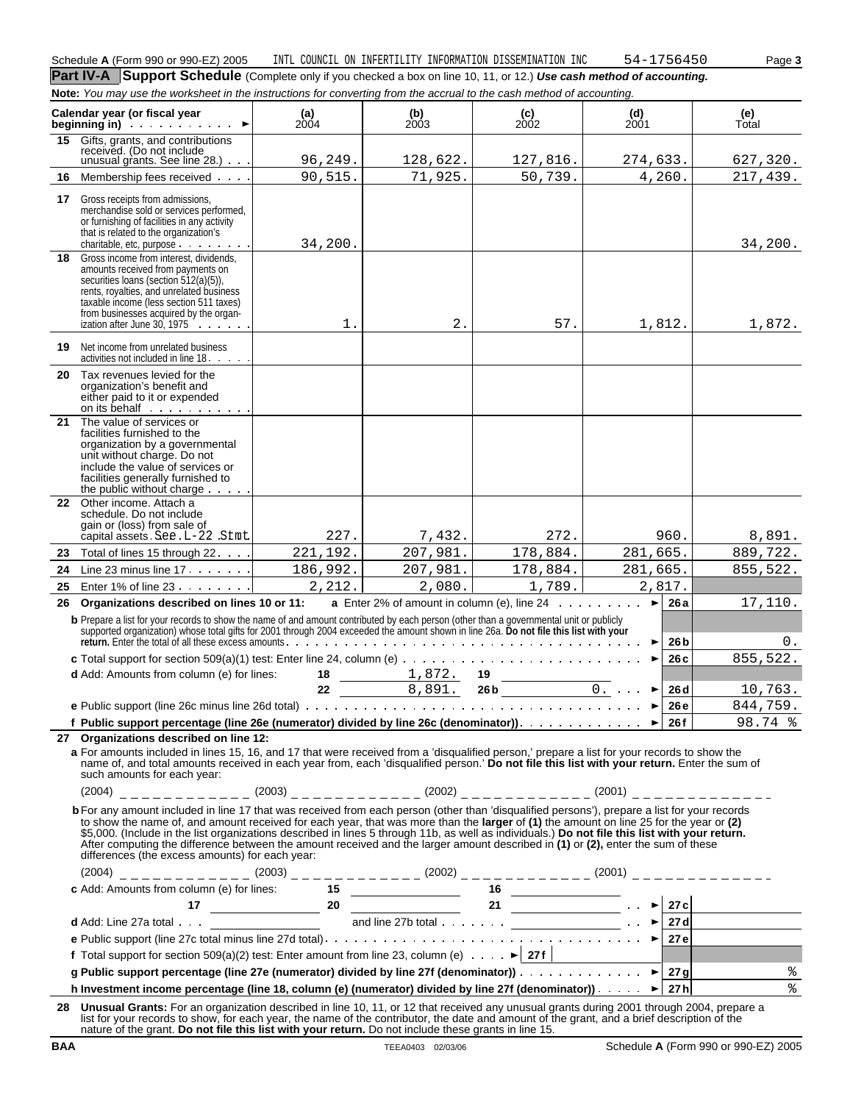**Part IV-A** Support Schedule (Complete only if you checked a box on line 10, 11, or 12.) Use cash method of accounting. **Note:** You may use the worksheet in the instructions for converting from the accrual to the cash method of accounting.

|    | <b>NULG.</b> TOW MAY USE THE WORKSHEEL IN THE INSTITUTION TO CONVENING HOME ACCIDATION TO CASH METHOD OF ACCOMMING.                                                                                                                                                                                                                                                                                                                                                                                                                                                                                                             |               |                   |                                                      |                       |                             |
|----|---------------------------------------------------------------------------------------------------------------------------------------------------------------------------------------------------------------------------------------------------------------------------------------------------------------------------------------------------------------------------------------------------------------------------------------------------------------------------------------------------------------------------------------------------------------------------------------------------------------------------------|---------------|-------------------|------------------------------------------------------|-----------------------|-----------------------------|
|    | Calendar year (or fiscal year<br>$\blacktriangleright$                                                                                                                                                                                                                                                                                                                                                                                                                                                                                                                                                                          | (a)<br>$2004$ | $\binom{b}{2003}$ | $\begin{array}{c} \textbf{(c)} \\ 2002 \end{array}$  | (d)<br>2001           | (e)<br>Total                |
|    | 15 Gifts, grants, and contributions<br>received. (Do not include<br>unusual grants. See line $28.$ ) $\cdots$                                                                                                                                                                                                                                                                                                                                                                                                                                                                                                                   | 96, 249.      | 128,622.          | 127,816.                                             | 274,633.              | 627,320.                    |
| 16 | Membership fees received                                                                                                                                                                                                                                                                                                                                                                                                                                                                                                                                                                                                        | 90,515.       | 71,925.           | 50,739.                                              | 4,260.                | 217,439.                    |
|    |                                                                                                                                                                                                                                                                                                                                                                                                                                                                                                                                                                                                                                 |               |                   |                                                      |                       |                             |
| 17 | Gross receipts from admissions,<br>merchandise sold or services performed,<br>or furnishing of facilities in any activity<br>that is related to the organization's<br>charitable, etc, purpose                                                                                                                                                                                                                                                                                                                                                                                                                                  | 34,200.       |                   |                                                      |                       | 34,200.                     |
| 18 | Gross income from interest, dividends,<br>amounts received from payments on<br>securities loans (section 512(a)(5)),<br>rents, royalties, and unrelated business<br>taxable income (less section 511 taxes)<br>from businesses acquired by the organ-<br>ization after June 30, 1975                                                                                                                                                                                                                                                                                                                                            | 1.            | $2$ .             | 57.                                                  | 1,812.                | 1,872.                      |
| 19 | Net income from unrelated business<br>activities not included in line 18.                                                                                                                                                                                                                                                                                                                                                                                                                                                                                                                                                       |               |                   |                                                      |                       |                             |
|    | 20 Tax revenues levied for the<br>organization's benefit and<br>either paid to it or expended<br>on its behalf                                                                                                                                                                                                                                                                                                                                                                                                                                                                                                                  |               |                   |                                                      |                       |                             |
| 21 | The value of services or<br>facilities furnished to the<br>organization by a governmental<br>unit without charge. Do not<br>include the value of services or<br>facilities generally furnished to<br>the public without charge $\ldots$ .                                                                                                                                                                                                                                                                                                                                                                                       |               |                   |                                                      |                       |                             |
| 22 | Other income. Attach a<br>schedule. Do not include<br>gain or (loss) from sale of<br>capital assets See L-22 Stmt                                                                                                                                                                                                                                                                                                                                                                                                                                                                                                               | 227.          | 7,432.            | 272.                                                 | 960.                  | 8,891.                      |
| 23 | Total of lines 15 through 22.                                                                                                                                                                                                                                                                                                                                                                                                                                                                                                                                                                                                   | 221, 192.     | 207,981.          | 178,884.                                             | 281,665.              | 889,722.                    |
| 24 | Line 23 minus line $17. \ldots$                                                                                                                                                                                                                                                                                                                                                                                                                                                                                                                                                                                                 | 186,992.      | 207,981.          | 178,884.                                             | 281,665.              | 855,522.                    |
| 25 | Enter 1% of line $23 \cdot \cdot \cdot \cdot \cdot$                                                                                                                                                                                                                                                                                                                                                                                                                                                                                                                                                                             | 2,212.        | 2,080.            | 1,789.                                               | 2,817.                |                             |
| 26 | Organizations described on lines 10 or 11:                                                                                                                                                                                                                                                                                                                                                                                                                                                                                                                                                                                      |               |                   | <b>a</b> Enter 2% of amount in column (e), line $24$ | $\blacktriangleright$ | 17,110.<br>26a              |
|    | b Prepare a list for your records to show the name of and amount contributed by each person (other than a governmental unit or publicly                                                                                                                                                                                                                                                                                                                                                                                                                                                                                         |               |                   |                                                      |                       |                             |
|    | supported organization) whose total gifts for 2001 through 2004 exceeded the amount shown in line 26a. Do not file this list with your                                                                                                                                                                                                                                                                                                                                                                                                                                                                                          |               |                   |                                                      |                       | 26 b<br>0.                  |
|    |                                                                                                                                                                                                                                                                                                                                                                                                                                                                                                                                                                                                                                 |               |                   |                                                      | ►                     | 855,522.<br>26c             |
|    | d Add: Amounts from column (e) for lines:                                                                                                                                                                                                                                                                                                                                                                                                                                                                                                                                                                                       | 18            | 1,872.            | 19<br>26 b $\overline{\qquad \qquad 0.}$             |                       |                             |
|    |                                                                                                                                                                                                                                                                                                                                                                                                                                                                                                                                                                                                                                 | $22 \,$       | 8,891.            |                                                      |                       | 26 <sub>d</sub><br>10,763.  |
|    |                                                                                                                                                                                                                                                                                                                                                                                                                                                                                                                                                                                                                                 |               |                   |                                                      |                       | 26 e<br>844,759.<br>98.74 % |
|    | 27 Organizations described on line 12:                                                                                                                                                                                                                                                                                                                                                                                                                                                                                                                                                                                          |               |                   |                                                      |                       |                             |
|    | a For amounts included in lines 15, 16, and 17 that were received from a 'disqualified person,' prepare a list for your records to show the<br>name of, and total amounts received in each year from, each 'disqualified person.' Do not file this list with your return. Enter the sum of<br>such amounts for each year:                                                                                                                                                                                                                                                                                                       |               |                   |                                                      |                       |                             |
|    | $(2004)$ _ _ _ _ _ _ _ _ _ _ _ (2003) _ _ _ _ _ _ _ _ _ _ (2002) _ _ _ _ _ _ _ _ _ _ _ _ (2001) _ _ _ _ _ _ _ _ _ _ _ _                                                                                                                                                                                                                                                                                                                                                                                                                                                                                                         |               |                   |                                                      |                       |                             |
|    | b For any amount included in line 17 that was received from each person (other than 'disqualified persons'), prepare a list for your records<br>to show the name of, and amount received for each year, that was more than the larger of (1) the amount on line 25 for the year or (2)<br>\$5,000. (Include in the list organizations described in lines 5 through 11b, as well as individuals.) Do not file this list with your return.<br>After computing the difference between the amount received and the larger amount described in (1) or (2), enter the sum of these<br>differences (the excess amounts) for each year: |               |                   |                                                      |                       |                             |
|    | $(2004)$ _ _ _ _ _ _ _ _ _ _ _ _ (2003) _ _ _ _ _ _ _ _ _ (2002) _ _ _ _ _ _ _ _ _ (2002) _ _ _ _ _ _ _ _ _ _ (2001) _ _ _ _ _ _ _ _ _ _ _ _ _                                                                                                                                                                                                                                                                                                                                                                                                                                                                                  |               |                   |                                                      |                       |                             |
|    |                                                                                                                                                                                                                                                                                                                                                                                                                                                                                                                                                                                                                                 |               |                   |                                                      |                       |                             |
|    |                                                                                                                                                                                                                                                                                                                                                                                                                                                                                                                                                                                                                                 |               |                   |                                                      |                       |                             |
|    | c Add: Amounts from column (e) for lines:<br>$\begin{array}{ l l }\n\hline\n\text{17} & 20 & \text{array } \\ \hline\n\text{28} & \text{44} \\ \hline\n\text{39} & \text{50} \\ \hline\n\text{49} & \text{60} \\ \hline\n\text{50} & \text{60} \\ \hline\n\text{51} & 21 & \text{50} \\ \hline\n\text{62} & \text{60} \\ \hline\n\text{73} & \text{60} \\ \hline\n\text{84} & \text{$                                                                                                                                                                                                                                           |               |                   |                                                      |                       |                             |
|    |                                                                                                                                                                                                                                                                                                                                                                                                                                                                                                                                                                                                                                 |               |                   |                                                      |                       |                             |
|    | f Total support for section 509(a)(2) test: Enter amount from line 23, column (e) $\cdots$ > 27f                                                                                                                                                                                                                                                                                                                                                                                                                                                                                                                                |               |                   |                                                      |                       |                             |
|    | g Public support percentage (line 27e (numerator) divided by line 27f (denominator)) $\overline{\cdots}$ $\overline{\cdots}$ $\overline{\cdots}$ 27g                                                                                                                                                                                                                                                                                                                                                                                                                                                                            |               |                   |                                                      |                       | $\frac{8}{6}$               |
|    | h Investment income percentage (line 18, column (e) (numerator) divided by line 27f (denominator)). $\ldots$ $\blacktriangleright$   27 h                                                                                                                                                                                                                                                                                                                                                                                                                                                                                       |               |                   |                                                      |                       | %                           |
|    | 28 Unusual Grants: For an organization described in line 10, 11, or 12 that received any unusual grants during 2001 through 2004, prepare a<br>list for your records to show, for each year, the name of the contributor, the date and amount of the grant, and a brief description of the<br>nature of the grant. Do not file this list with your return. Do not include these grants in line 15.                                                                                                                                                                                                                              |               |                   |                                                      |                       |                             |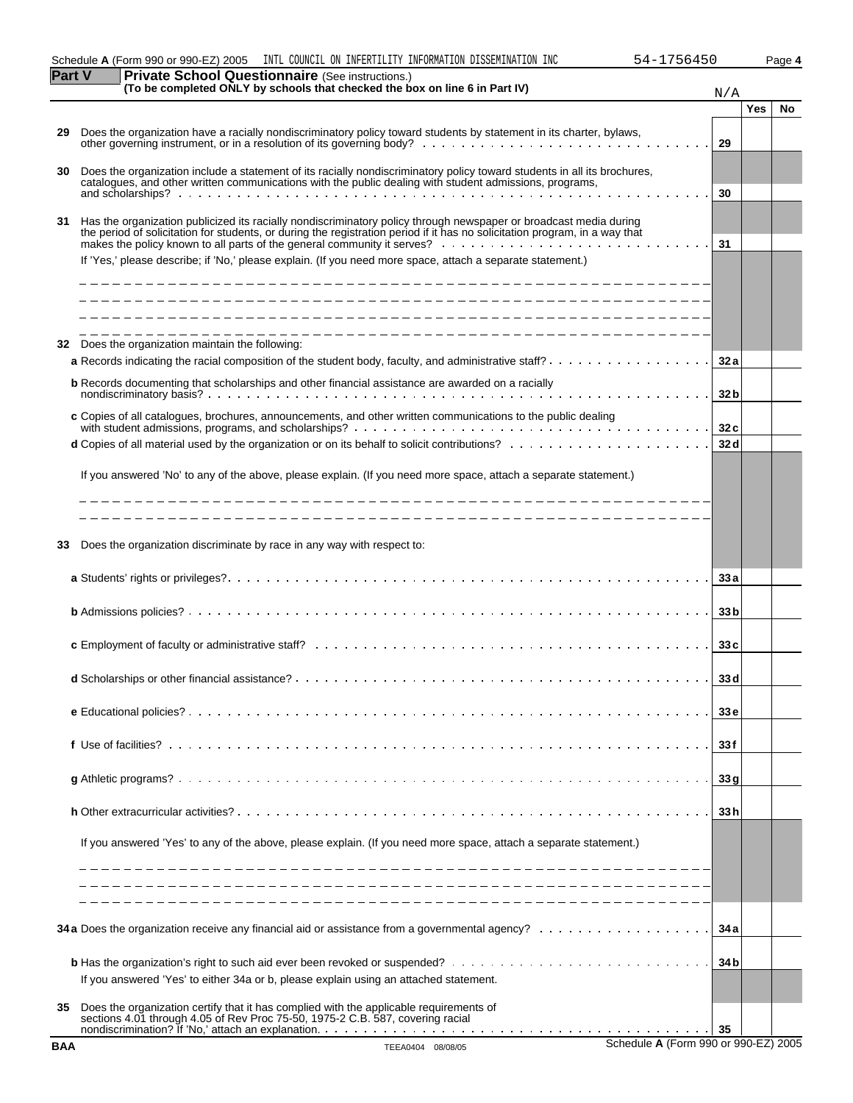| Schedule A (Form 990 or 990-EZ) 2005 | INTL COUNCIL ON INFERTILITY INFORMATION DISSEMINATION INC | 756450<br>54- | Page 4 |
|--------------------------------------|-----------------------------------------------------------|---------------|--------|

| art        | are $\sigma$ cribor Questionitaire (see instructions.)<br>(To be completed ONLY by schools that checked the box on line 6 in Part IV)                                                                                                            | N/A             |            |           |
|------------|--------------------------------------------------------------------------------------------------------------------------------------------------------------------------------------------------------------------------------------------------|-----------------|------------|-----------|
|            |                                                                                                                                                                                                                                                  |                 | <b>Yes</b> | <b>No</b> |
| 29         | Does the organization have a racially nondiscriminatory policy toward students by statement in its charter, bylaws,                                                                                                                              | 29              |            |           |
| 30         | Does the organization include a statement of its racially nondiscriminatory policy toward students in all its brochures,<br>catalogues, and other written communications with the public dealing with student admissions, programs,              | 30              |            |           |
| 31         | Has the organization publicized its racially nondiscriminatory policy through newspaper or broadcast media during<br>the period of solicitation for students, or during the registration period if it has no solicitation program, in a way that |                 |            |           |
|            | If 'Yes,' please describe; if 'No,' please explain. (If you need more space, attach a separate statement.)                                                                                                                                       | 31              |            |           |
|            |                                                                                                                                                                                                                                                  |                 |            |           |
|            |                                                                                                                                                                                                                                                  |                 |            |           |
| 32         | Does the organization maintain the following:<br><b>a</b> Records indicating the racial composition of the student body, faculty, and administrative staff? $\ldots$ , $\ldots$ , $\ldots$ , $\ldots$                                            | 32 a            |            |           |
|            | <b>b</b> Records documenting that scholarships and other financial assistance are awarded on a racially                                                                                                                                          | 32 <sub>b</sub> |            |           |
|            | c Copies of all catalogues, brochures, announcements, and other written communications to the public dealing                                                                                                                                     | 32c             |            |           |
|            |                                                                                                                                                                                                                                                  | 32 d            |            |           |
|            | If you answered 'No' to any of the above, please explain. (If you need more space, attach a separate statement.)                                                                                                                                 |                 |            |           |
|            |                                                                                                                                                                                                                                                  |                 |            |           |
| 33         | Does the organization discriminate by race in any way with respect to:                                                                                                                                                                           |                 |            |           |
|            |                                                                                                                                                                                                                                                  | 33 a            |            |           |
|            |                                                                                                                                                                                                                                                  | 33 <sub>b</sub> |            |           |
|            |                                                                                                                                                                                                                                                  | 33c             |            |           |
|            |                                                                                                                                                                                                                                                  | 33 d            |            |           |
|            |                                                                                                                                                                                                                                                  | 33 <sub>e</sub> |            |           |
|            |                                                                                                                                                                                                                                                  | 33 f            |            |           |
|            |                                                                                                                                                                                                                                                  | 33g             |            |           |
|            |                                                                                                                                                                                                                                                  | 33 h            |            |           |
|            | If you answered 'Yes' to any of the above, please explain. (If you need more space, attach a separate statement.)                                                                                                                                |                 |            |           |
|            |                                                                                                                                                                                                                                                  |                 |            |           |
|            |                                                                                                                                                                                                                                                  |                 |            |           |
|            |                                                                                                                                                                                                                                                  | 34 a            |            |           |
|            | If you answered 'Yes' to either 34a or b, please explain using an attached statement.                                                                                                                                                            | 34 b            |            |           |
| 35         | Does the organization certify that it has complied with the applicable requirements of<br>sections 4.01 through 4.05 of Rev Proc 75-50, 1975-2 C.B. 587, covering racial                                                                         |                 |            |           |
| <b>BAA</b> | Schedule A (Form 990 or 990-EZ) 2005<br>TEEA0404 08/08/05                                                                                                                                                                                        | -35             |            |           |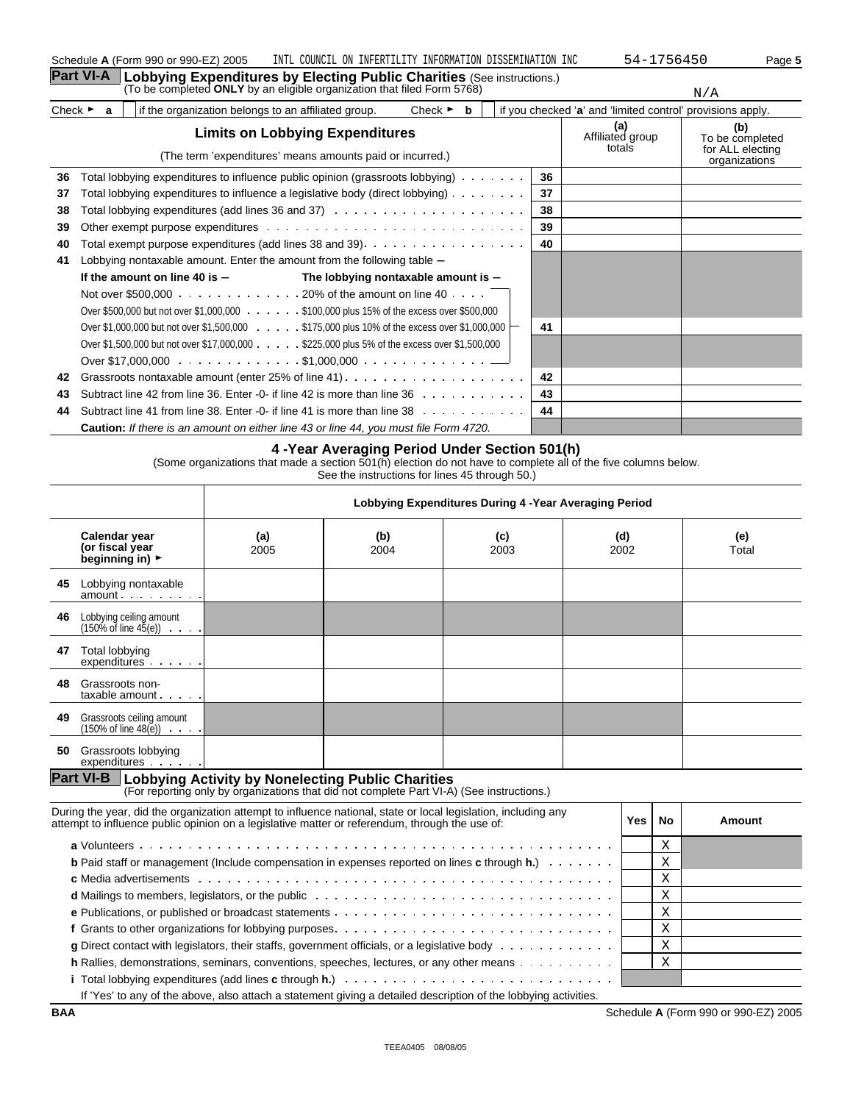|                             | <b>Part VI-A</b> | Lobbying Expenditures by Electing Public Charities (See instructions.)                                               |    |                                                            |                                                             |
|-----------------------------|------------------|----------------------------------------------------------------------------------------------------------------------|----|------------------------------------------------------------|-------------------------------------------------------------|
|                             |                  | (To be completed ONLY by an eligible organization that filed Form 5768)                                              |    |                                                            | N/A                                                         |
| Check $\blacktriangleright$ | a                | if the organization belongs to an affiliated group.<br>Check $\blacktriangleright$<br>b                              |    | if you checked 'a' and 'limited control' provisions apply. |                                                             |
|                             |                  | <b>Limits on Lobbying Expenditures</b><br>(The term 'expenditures' means amounts paid or incurred.)                  |    | (a)<br>Affiliated group<br>totals                          | (b)<br>To be completed<br>for ALL electing<br>organizations |
| 36                          |                  | Total lobbying expenditures to influence public opinion (grassroots lobbying)                                        | 36 |                                                            |                                                             |
| 37                          |                  | Total lobbying expenditures to influence a legislative body (direct lobbying)                                        | 37 |                                                            |                                                             |
| 38                          |                  |                                                                                                                      | 38 |                                                            |                                                             |
| 39                          |                  |                                                                                                                      | 39 |                                                            |                                                             |
| 40                          |                  |                                                                                                                      | 40 |                                                            |                                                             |
| 41                          |                  | Lobbying nontaxable amount. Enter the amount from the following table -                                              |    |                                                            |                                                             |
|                             |                  | If the amount on line 40 is $-$<br>The lobbying nontaxable amount is $-$                                             |    |                                                            |                                                             |
|                             |                  | Not over \$500,000 $\ldots$ 20% of the amount on line 40 $\ldots$ .                                                  |    |                                                            |                                                             |
|                             |                  | Over \$500,000 but not over \$1,000,000 \$100,000 plus 15% of the excess over \$500,000                              |    |                                                            |                                                             |
|                             |                  | Over \$1,000,000 but not over \$1,500,000 $\ldots \ldots$ \$175,000 plus 10% of the excess over \$1,000,000 $\vdash$ | 41 |                                                            |                                                             |
|                             |                  | Over \$1,500,000 but not over \$17,000,000 \$225,000 plus 5% of the excess over \$1,500,000                          |    |                                                            |                                                             |
|                             |                  |                                                                                                                      |    |                                                            |                                                             |
| 42                          |                  | Grassroots nontaxable amount (enter 25% of line 41)                                                                  | 42 |                                                            |                                                             |
| 43                          |                  | Subtract line 42 from line 36. Enter -0- if line 42 is more than line $36 \ldots \ldots \ldots$                      | 43 |                                                            |                                                             |
| 44                          |                  | Subtract line 41 from line 38. Enter -0- if line 41 is more than line $38 \ldots$ ,                                  | 44 |                                                            |                                                             |
|                             |                  | <b>Caution:</b> If there is an amount on either line 43 or line 44, you must file Form 4720.                         |    |                                                            |                                                             |

#### **4 -Year Averaging Period Under Section 501(h)**

(Some organizations that made a section 501(h) election do not have to complete all of the five columns below. See the instructions for lines 45 through 50.)

|    |                                                                                     | Lobbying Expenditures During 4 - Year Averaging Period |             |             |             |              |
|----|-------------------------------------------------------------------------------------|--------------------------------------------------------|-------------|-------------|-------------|--------------|
|    | Calendar year<br>(or fiscal year<br>beginning in) $\blacktriangleright$             | (a)<br>2005                                            | (b)<br>2004 | (c)<br>2003 | (d)<br>2002 | (e)<br>Total |
| 45 | Lobbying nontaxable<br>$amount \dots \dots$                                         |                                                        |             |             |             |              |
| 46 | Lobbying ceiling amount<br>$(150\% \text{ of line } 45(e)) \cdot \cdot \cdot \cdot$ |                                                        |             |             |             |              |
| 47 | Total lobbying<br>expenditures                                                      |                                                        |             |             |             |              |
| 48 | Grassroots non-<br>$taxable$ amount $\cdots$ .                                      |                                                        |             |             |             |              |
| 49 | Grassroots ceiling amount<br>$(150\% \text{ of line } 48(e)) \cdot \cdot \cdot$     |                                                        |             |             |             |              |
| 50 | Grassroots lobbying<br>expenditures                                                 |                                                        |             |             |             |              |

# **Part VI-B** | Lobbying Activity by Nonelecting Public Charities<br>(For reporting only by organizations that did not complete Part VI-A) (See instructions.)

| During the year, did the organization attempt to influence national, state or local legislation, including any<br>attempt to influence public opinion on a legislative matter or referendum, through the use of:               | Yes | No.         | Amount |
|--------------------------------------------------------------------------------------------------------------------------------------------------------------------------------------------------------------------------------|-----|-------------|--------|
|                                                                                                                                                                                                                                |     | $\tau$<br>A |        |
| <b>b</b> Paid staff or management (include compensation in expenses reported on lines <b>c</b> through $h$ .) $\ldots$                                                                                                         |     | Χ           |        |
|                                                                                                                                                                                                                                |     | Χ           |        |
| d Mailings to members, legislators, or the public enterprise in the content of Mailings to members, legislators, or the public enterprise in the content of Mailings to members, legislators, or the public enterprise of Mail |     | Χ           |        |
|                                                                                                                                                                                                                                |     | Χ           |        |
|                                                                                                                                                                                                                                |     | Χ           |        |
| <b>g</b> Direct contact with legislators, their staffs, government officials, or a legislative body $\cdots$                                                                                                                   |     | Χ           |        |
| <b>h</b> Rallies, demonstrations, seminars, conventions, speeches, lectures, or any other means $\dots \dots$                                                                                                                  |     | Χ           |        |
| <b>i</b> Total lobbying expenditures (add lines <b>c</b> through <b>h.</b> ) $\ldots \ldots \ldots \ldots \ldots \ldots \ldots \ldots \ldots \ldots \ldots$                                                                    |     |             |        |
| If 'Yes' to any of the above, also attach a statement giving a detailed description of the lobbying activities.                                                                                                                |     |             |        |

**BAA** Schedule **A** (Form 990 or 990-EZ) 2005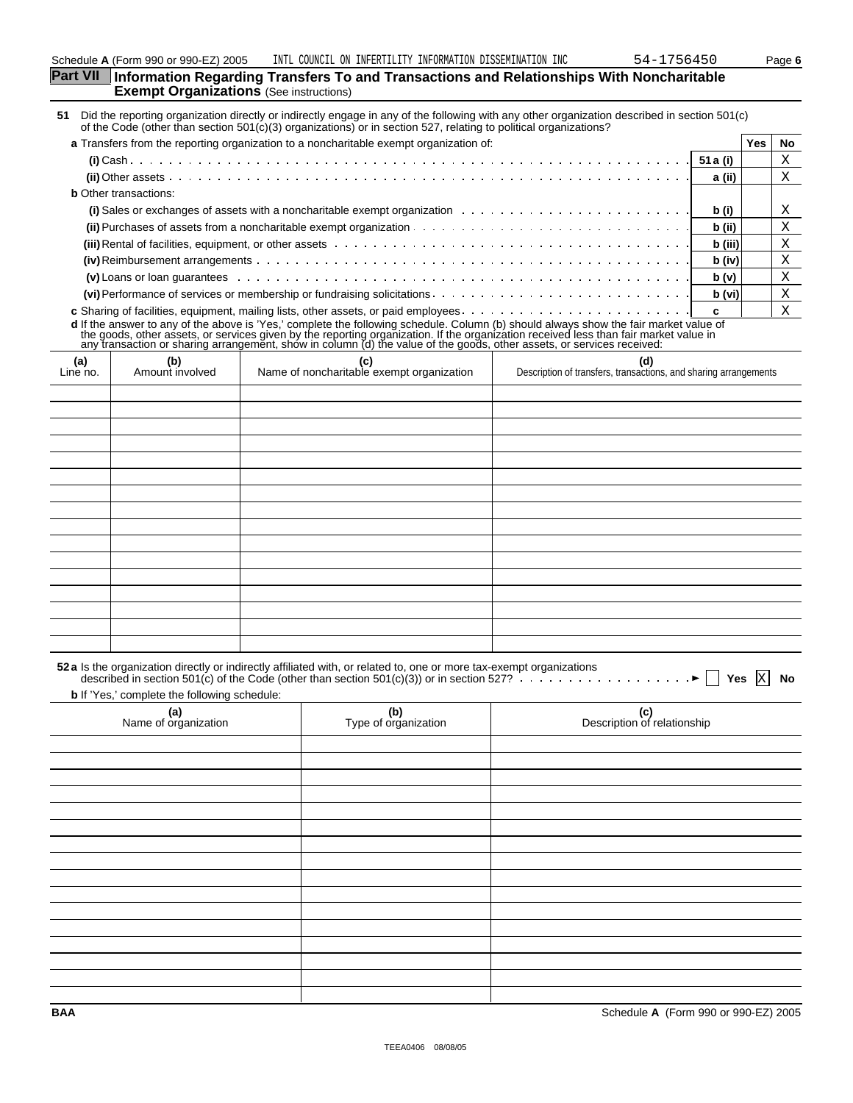| Part VII Information Regarding Transfers To and Transactions and Relationships With Noncharitable |
|---------------------------------------------------------------------------------------------------|
| <b>Exempt Organizations</b> (See instructions)                                                    |

**51** Did the reporting organization directly or indirectly engage in any of the following with any other organization described in section 501(c) of the Code (other than section 501(c)(3) organizations) or in section 527, relating to political organizations?

| a Transfers from the reporting organization to a noncharitable exempt organization of:                                                                                                                                              |         | Yes. | No. |
|-------------------------------------------------------------------------------------------------------------------------------------------------------------------------------------------------------------------------------------|---------|------|-----|
|                                                                                                                                                                                                                                     |         |      |     |
|                                                                                                                                                                                                                                     | a (ii)  |      | Χ   |
| <b>b</b> Other transactions:                                                                                                                                                                                                        |         |      |     |
| (i) Sales or exchanges of assets with a noncharitable exempt organization $\cdots \cdots \cdots \cdots \cdots \cdots$                                                                                                               | b (i)   |      | Χ   |
|                                                                                                                                                                                                                                     | b (ii)  |      | Χ   |
| <b>(iii)</b> Rental of facilities, equipment, or other assets entermination of the content of the content of facilities, equipment, or other assets entermination of the content of the content of the content of the content of th | b (iii) |      |     |
|                                                                                                                                                                                                                                     | b (iv)  |      | Χ   |
|                                                                                                                                                                                                                                     | b(v)    |      |     |
|                                                                                                                                                                                                                                     | b (vi)  |      | X   |
|                                                                                                                                                                                                                                     |         |      |     |

**c** Sharing of facilities, equipment, mailing lists, other assets, or paid employees **c** d If the answer to any of the above is 'Yes,' complete the following schedule. Column (b) should always show the fair market value of<br>the goods, other assets, or services given by the reporting organization. If the organiz

|                 | any nanodollon or channing amangement, one in ceramin (a) and raide or and goods, onner access, or corridoe recent |                                                  |                                                                         |  |  |  |
|-----------------|--------------------------------------------------------------------------------------------------------------------|--------------------------------------------------|-------------------------------------------------------------------------|--|--|--|
| (a)<br>Line no. | (b)<br>Amount involved                                                                                             | (c)<br>Name of noncharitable exempt organization | (d)<br>Description of transfers, transactions, and sharing arrangements |  |  |  |
|                 |                                                                                                                    |                                                  |                                                                         |  |  |  |
|                 |                                                                                                                    |                                                  |                                                                         |  |  |  |
|                 |                                                                                                                    |                                                  |                                                                         |  |  |  |
|                 |                                                                                                                    |                                                  |                                                                         |  |  |  |
|                 |                                                                                                                    |                                                  |                                                                         |  |  |  |
|                 |                                                                                                                    |                                                  |                                                                         |  |  |  |
|                 |                                                                                                                    |                                                  |                                                                         |  |  |  |
|                 |                                                                                                                    |                                                  |                                                                         |  |  |  |
|                 |                                                                                                                    |                                                  |                                                                         |  |  |  |
|                 |                                                                                                                    |                                                  |                                                                         |  |  |  |
|                 |                                                                                                                    |                                                  |                                                                         |  |  |  |
|                 |                                                                                                                    |                                                  |                                                                         |  |  |  |
|                 |                                                                                                                    |                                                  |                                                                         |  |  |  |
|                 |                                                                                                                    |                                                  |                                                                         |  |  |  |
|                 |                                                                                                                    |                                                  |                                                                         |  |  |  |
|                 |                                                                                                                    |                                                  |                                                                         |  |  |  |

|                                                     |                             | 52 a Is the organization directly or indirectly affiliated with, or related to, one or more tax-exempt organizations<br>described in section 501(c) of the Code (other than section 501(c)(3)) or in section 527?<br>No |
|-----------------------------------------------------|-----------------------------|-------------------------------------------------------------------------------------------------------------------------------------------------------------------------------------------------------------------------|
| <b>b</b> If 'Yes,' complete the following schedule: |                             |                                                                                                                                                                                                                         |
| (a)<br>Name of organization                         | (b)<br>Type of organization | (c)<br>Description of relationship                                                                                                                                                                                      |
|                                                     |                             |                                                                                                                                                                                                                         |
|                                                     |                             |                                                                                                                                                                                                                         |
|                                                     |                             |                                                                                                                                                                                                                         |
|                                                     |                             |                                                                                                                                                                                                                         |
|                                                     |                             |                                                                                                                                                                                                                         |
|                                                     |                             |                                                                                                                                                                                                                         |
|                                                     |                             |                                                                                                                                                                                                                         |
|                                                     |                             |                                                                                                                                                                                                                         |
|                                                     |                             |                                                                                                                                                                                                                         |
|                                                     |                             |                                                                                                                                                                                                                         |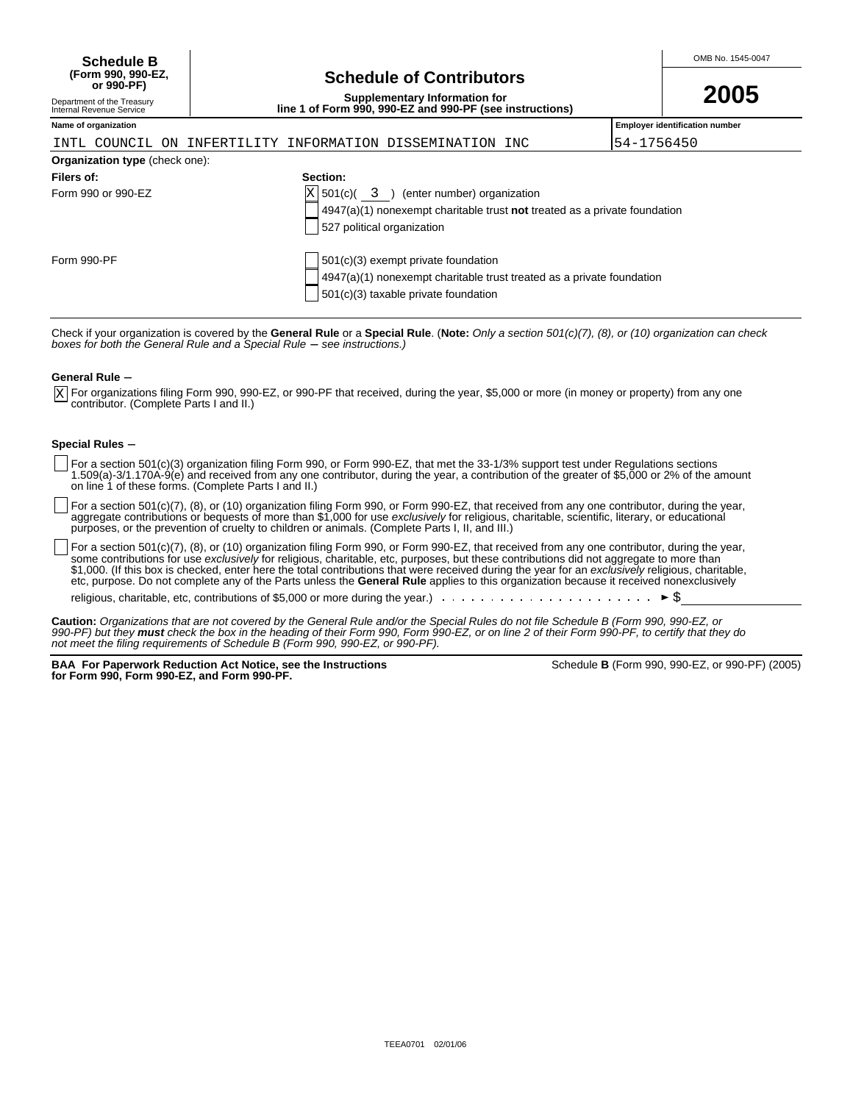| <b>Schedule B</b>  |                                 | OMB No. 1545-0047 |
|--------------------|---------------------------------|-------------------|
| (Form 990. 990-EZ. | <b>Schedule of Contributors</b> |                   |
| or 990-PF)         |                                 | AAAF              |

# **Schedule of Contributors**

**Supplementary Information for line 1 of Form 990, 990-EZ and 990-PF (see instructions)**

|  | 2005 |  |
|--|------|--|
|  |      |  |

#### Department of the Treasury Internal Revenue Service

|  |  | INTL COUNCIL ON INFERTILITY INFORMATION DISSEMINATION INC |  |
|--|--|-----------------------------------------------------------|--|

**Name of organization Employer identification number**

I54-1756450

|                                       | $+111$ $11111$ $11$ $11111$ $111111$ $1111111$ $11111$ $11111$ $11111$                                                                                   | . |
|---------------------------------------|----------------------------------------------------------------------------------------------------------------------------------------------------------|---|
| <b>Organization type (check one):</b> |                                                                                                                                                          |   |
| Filers of:                            | Section:                                                                                                                                                 |   |
| Form 990 or 990-EZ                    | $X$ 501(c)( 3 ) (enter number) organization<br>$4947(a)(1)$ nonexempt charitable trust not treated as a private foundation<br>527 political organization |   |
| Form 990-PF                           | 501(c)(3) exempt private foundation                                                                                                                      |   |

Check if your organization is covered by the **General Rule** or a **Special Rule**. (**Note:** Only a section 501(c)(7), (8), or (10) organization can check<br>*boxes for both the General Rule and a Special Rule — see instructions* 

501(c)(3) taxable private foundation

4947(a)(1) nonexempt charitable trust treated as a private foundation

#### **General Rule -**

For organizations filing Form 990, 990-EZ, or 990-PF that received, during the year, \$5,000 or more (in money or property) from any one contributor. (Complete Parts I and II.) X

#### **Special Rules -**

- For a section 501(c)(3) organization filing Form 990, or Form 990-EZ, that met the 33-1/3% support test under Regulations sections 1.509(a)-3/1.170A-9(e) and received from any one contributor, during the year, a contribution of the greater of \$5,000 or 2% of the amount on line 1 of these forms. (Complete Parts I and II.)
- For a section 501(c)(7), (8), or (10) organization filing Form 990, or Form 990-EZ, that received from any one contributor, during the year, aggregate contributions or bequests of more than \$1,000 for use *exclusively* for religious, charitable, scientific, literary, or educational purposes, or the prevention of cruelty to children or animals. (Complete Parts I, II, and III.)

For a section 501(c)(7), (8), or (10) organization filing Form 990, or Form 990-EZ, that received from any one contributor, during the year, some contributions for use *exclusively* for religious, charitable, etc, purposes, but these contributions did not aggregate to more than \$1,000. (If this box is checked, enter here the total contributions that were received during the year for an exclusively religious, charitable, etc, purpose. Do not complete any of the Parts unless the **General Rule** applies to this organization because it received nonexclusively

religious, charitable, etc, contributions of \$5,000 or more during the year.)  $\ldots$ 

**Caution:** Organizations that are not covered by the General Rule and/or the Special Rules do not file Schedule B (Form 990, 990-EZ, or 990-PF) but they **must** check the box in the heading of their Form 990, Form 990-EZ, or on line 2 of their Form 990-PF, to certify that they do not meet the filing requirements of Schedule B (Form 990, 990-EZ, or 990-PF).

**BAA For Paperwork Reduction Act Notice, see the Instructions for Form 990, Form 990-EZ, and Form 990-PF.**

| Schedule <b>B</b> (Form 990, 990-EZ, or 990-PF) (2005) |  |  |  |  |
|--------------------------------------------------------|--|--|--|--|
|--------------------------------------------------------|--|--|--|--|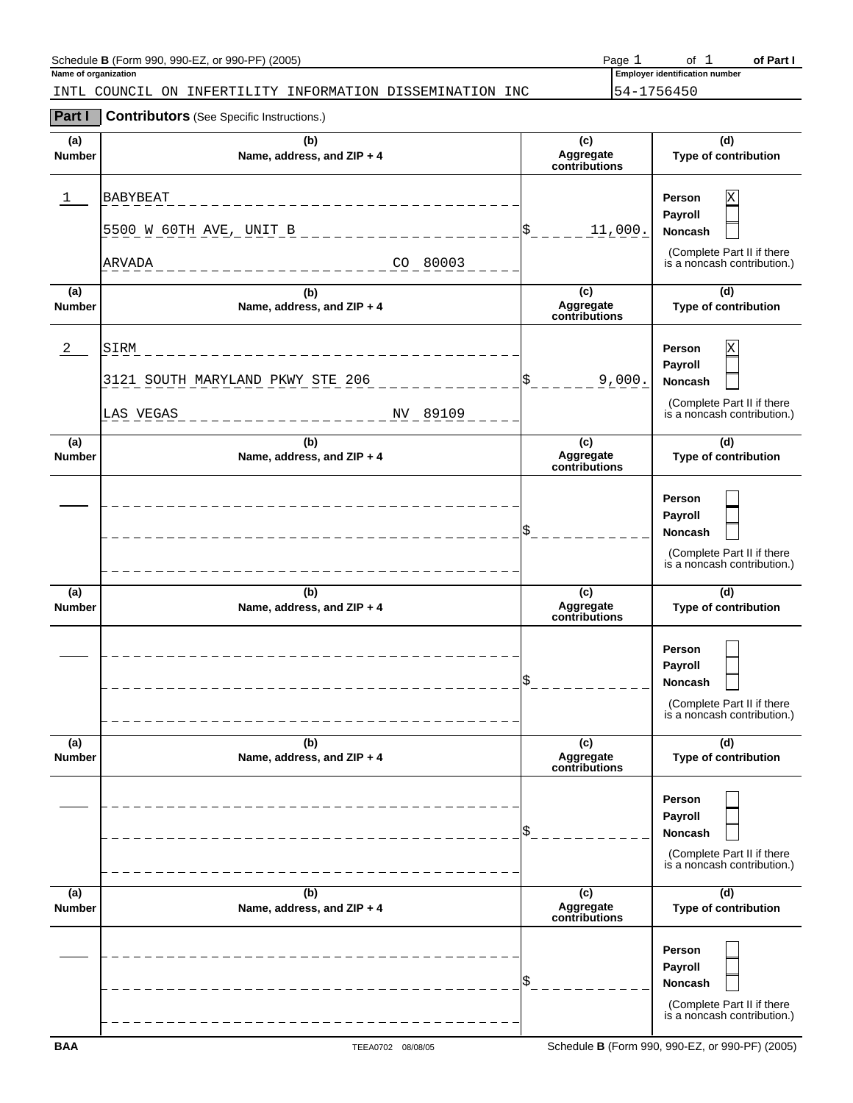| Schedule <b>B</b> (Form 990, 990-EZ, or 990-PF) (2005)       | Page       |                                       | of Part I |
|--------------------------------------------------------------|------------|---------------------------------------|-----------|
| Name of organization                                         |            | <b>Employer identification number</b> |           |
| INFERTILITY INFORMATION DISSEMINATION INC<br>INTL COUNCIL ON | 54-1756450 |                                       |           |

#### **Part I Contributors** (See Specific Instructions.)

| (a)<br><b>Number</b> | (b)<br>Name, address, and ZIP + 4                                 | (c)<br>Aggregate<br>contributions | (d)<br>Type of contribution                                                                           |
|----------------------|-------------------------------------------------------------------|-----------------------------------|-------------------------------------------------------------------------------------------------------|
| ı                    | <b>BABYBEAT</b><br>5500 W 60TH AVE, UNIT B<br>CO 80003<br>ARVADA  | 11,000.                           | Person<br>X<br>Payroll<br><b>Noncash</b><br>(Complete Part II if there<br>is a noncash contribution.) |
| (a)<br>Number        | (b)<br>Name, address, and ZIP + 4                                 | (c)<br>Aggregate<br>contributions | (d)<br>Type of contribution                                                                           |
| 2                    | SIRM<br>3121 SOUTH MARYLAND PKWY STE 206<br>NV 89109<br>LAS VEGAS | 9,000.                            | Person<br>X<br>Payroll<br><b>Noncash</b><br>(Complete Part II if there<br>is a noncash contribution.) |
| (a)<br><b>Number</b> | (b)<br>Name, address, and ZIP + 4                                 | (c)<br>Aggregate<br>contributions | (d)<br>Type of contribution                                                                           |
|                      |                                                                   |                                   | Person<br>Payroll<br><b>Noncash</b><br>(Complete Part II if there<br>is a noncash contribution.)      |
| (a)<br><b>Number</b> | (b)<br>Name, address, and ZIP + 4                                 | (c)<br>Aggregate<br>contributions | (d)<br>Type of contribution                                                                           |
|                      |                                                                   |                                   | Person<br>Payroll<br><b>Noncash</b><br>(Complete Part II if there<br>is a noncash contribution.)      |
| (a)<br><b>Number</b> | (b)<br>Name, address, and ZIP + 4                                 | (c)<br>Aggregate<br>contributions | (d)<br>Type of contribution                                                                           |
|                      |                                                                   |                                   | Person<br>Payroll<br>Noncash<br>(Complete Part II if there<br>is a noncash contribution.)             |
| (a)<br>Number        | (b)<br>Name, address, and ZIP + 4                                 | (c)<br>Aggregate<br>contributions | (d)<br>Type of contribution                                                                           |
|                      |                                                                   |                                   | <b>Person</b><br>Payroll<br>Noncash<br>(Complete Part II if there<br>is a noncash contribution.)      |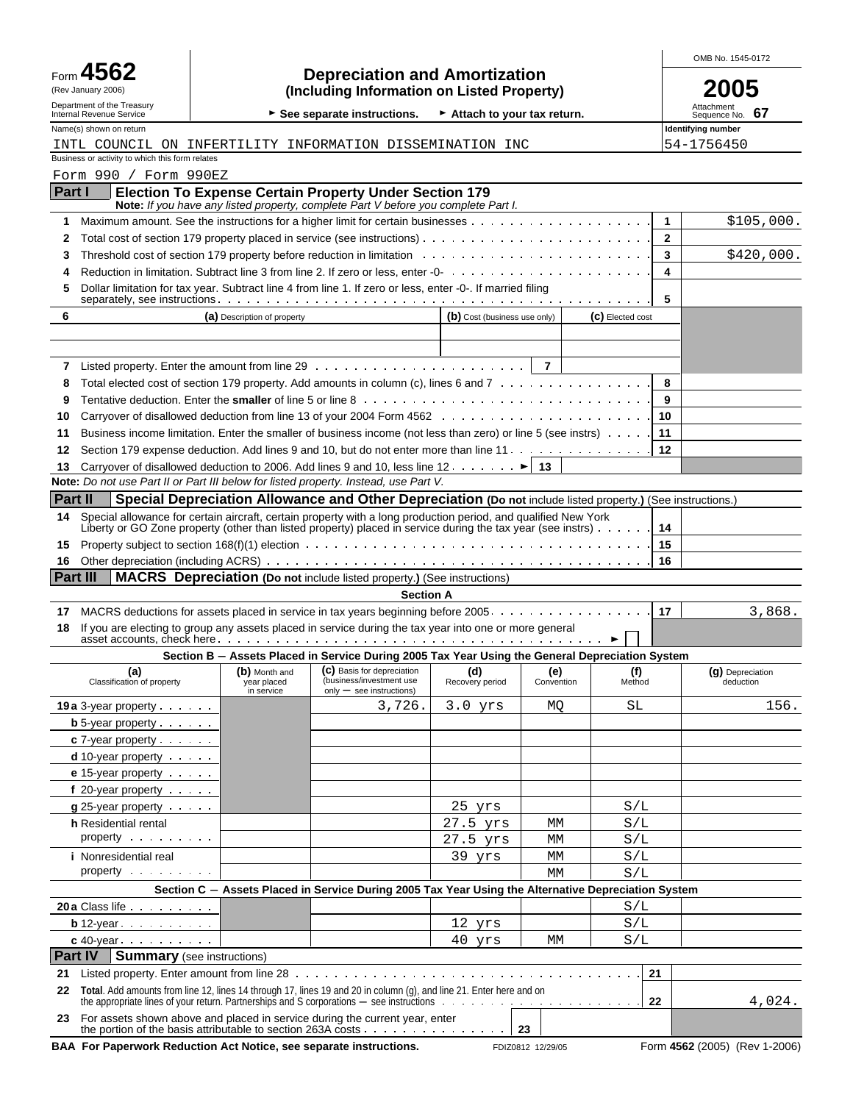|                  |                                                                                                                                        |                                            |                                                                                                                                                          |                              |                   |                  |                   | OMB No. 1545-0172                |
|------------------|----------------------------------------------------------------------------------------------------------------------------------------|--------------------------------------------|----------------------------------------------------------------------------------------------------------------------------------------------------------|------------------------------|-------------------|------------------|-------------------|----------------------------------|
| Form $\triangle$ | <b>Depreciation and Amortization</b><br>(Including Information on Listed Property)<br>(Rev January 2006)<br>Department of the Treasury |                                            |                                                                                                                                                          |                              |                   |                  |                   |                                  |
|                  | Internal Revenue Service                                                                                                               |                                            | See separate instructions.                                                                                                                               | Attach to your tax return.   |                   |                  |                   | Attachment<br>67<br>Sequence No. |
|                  | Name(s) shown on return                                                                                                                |                                            |                                                                                                                                                          |                              |                   |                  |                   | Identifying number               |
|                  | Business or activity to which this form relates                                                                                        |                                            | INTL COUNCIL ON INFERTILITY INFORMATION DISSEMINATION INC                                                                                                |                              |                   |                  |                   | 54-1756450                       |
|                  | Form 990 / Form 990EZ                                                                                                                  |                                            |                                                                                                                                                          |                              |                   |                  |                   |                                  |
| Part I           |                                                                                                                                        |                                            | <b>Election To Expense Certain Property Under Section 179</b>                                                                                            |                              |                   |                  |                   |                                  |
|                  |                                                                                                                                        |                                            | Note: If you have any listed property, complete Part V before you complete Part I.                                                                       |                              |                   |                  |                   |                                  |
| 1                |                                                                                                                                        |                                            |                                                                                                                                                          |                              |                   |                  | $\mathbf{1}$      | \$105,000.                       |
| 2<br>3           |                                                                                                                                        |                                            | Total cost of section 179 property placed in service (see instructions)                                                                                  |                              |                   |                  | $\mathbf{2}$<br>3 | \$420,000.                       |
|                  |                                                                                                                                        |                                            |                                                                                                                                                          |                              |                   |                  | 4                 |                                  |
| 5                |                                                                                                                                        |                                            | Dollar limitation for tax year. Subtract line 4 from line 1. If zero or less, enter -0-. If married filing                                               |                              |                   |                  |                   |                                  |
|                  |                                                                                                                                        |                                            |                                                                                                                                                          |                              |                   |                  | 5                 |                                  |
| 6                |                                                                                                                                        | (a) Description of property                |                                                                                                                                                          | (b) Cost (business use only) |                   | (C) Elected cost |                   |                                  |
|                  |                                                                                                                                        |                                            |                                                                                                                                                          |                              |                   |                  |                   |                                  |
| 7                |                                                                                                                                        |                                            |                                                                                                                                                          |                              | $\overline{7}$    |                  |                   |                                  |
| 8                |                                                                                                                                        |                                            | Total elected cost of section 179 property. Add amounts in column (c), lines 6 and 7                                                                     |                              |                   |                  | 8                 |                                  |
| 9                |                                                                                                                                        |                                            |                                                                                                                                                          |                              |                   |                  | 9                 |                                  |
| 10               |                                                                                                                                        |                                            |                                                                                                                                                          |                              |                   |                  | 10                |                                  |
| 11               |                                                                                                                                        |                                            | Business income limitation. Enter the smaller of business income (not less than zero) or line 5 (see instrs)                                             |                              |                   |                  | 11                |                                  |
| 12               |                                                                                                                                        |                                            | Section 179 expense deduction. Add lines 9 and 10, but do not enter more than line 11.                                                                   |                              |                   |                  | 12                |                                  |
| 13               |                                                                                                                                        |                                            | Carryover of disallowed deduction to 2006. Add lines 9 and 10, less line 12. $\dots$ . $\blacktriangleright$ 13                                          |                              |                   |                  |                   |                                  |
|                  |                                                                                                                                        |                                            | Note: Do not use Part II or Part III below for listed property. Instead, use Part V.                                                                     |                              |                   |                  |                   |                                  |
| Part II          |                                                                                                                                        |                                            | Special Depreciation Allowance and Other Depreciation (Do not include listed property.) (See instructions.)                                              |                              |                   |                  |                   |                                  |
| 14               |                                                                                                                                        |                                            | Special allowance for certain aircraft, certain property with a long production period, and qualified New York                                           |                              |                   |                  |                   |                                  |
|                  |                                                                                                                                        |                                            | Liberty or GO Zone property (other than listed property) placed in service during the tax year (see instrs)                                              |                              |                   |                  | 14<br>15          |                                  |
| 15<br>16         |                                                                                                                                        |                                            |                                                                                                                                                          |                              |                   |                  | 16                |                                  |
| Part III         |                                                                                                                                        |                                            | MACRS Depreciation (Do not include listed property.) (See instructions)                                                                                  |                              |                   |                  |                   |                                  |
|                  |                                                                                                                                        |                                            | <b>Section A</b>                                                                                                                                         |                              |                   |                  |                   |                                  |
| 17               |                                                                                                                                        |                                            | MACRS deductions for assets placed in service in tax years beginning before 2005. 17                                                                     |                              |                   |                  |                   | 3,868.                           |
| 18               |                                                                                                                                        |                                            | If you are electing to group any assets placed in service during the tax year into one or more general                                                   |                              |                   |                  |                   |                                  |
|                  |                                                                                                                                        |                                            | Section B - Assets Placed in Service During 2005 Tax Year Using the General Depreciation System                                                          |                              |                   |                  |                   |                                  |
|                  | (a)<br>Classification of property                                                                                                      | (b) Month and<br>year placed<br>in service | (c) Basis for depreciation<br>(business/investment use<br>$only - see$ instructions)                                                                     | (d)<br>Recovery period       | (e)<br>Convention | (f)<br>Method    |                   | (g) Depreciation<br>deduction    |
|                  | <b>19a</b> $3$ -year property $\cdots$                                                                                                 |                                            | 3,726.                                                                                                                                                   | $3.0$ yrs                    | MQ                | SL               |                   | 156.                             |
|                  | <b>b</b> 5-year property $\cdots$                                                                                                      |                                            |                                                                                                                                                          |                              |                   |                  |                   |                                  |
|                  | $c$ 7-year property $\cdots$                                                                                                           |                                            |                                                                                                                                                          |                              |                   |                  |                   |                                  |
|                  | $d$ 10-year property $\cdots$                                                                                                          |                                            |                                                                                                                                                          |                              |                   |                  |                   |                                  |
|                  | <b>e</b> 15-year property $\cdots$                                                                                                     |                                            |                                                                                                                                                          |                              |                   |                  |                   |                                  |
|                  | f 20-year property                                                                                                                     |                                            |                                                                                                                                                          |                              |                   |                  |                   |                                  |
|                  | $g$ 25-year property                                                                                                                   |                                            |                                                                                                                                                          | $25$ yrs                     |                   | S/L              |                   |                                  |
|                  | h Residential rental<br>property $\cdots$                                                                                              |                                            |                                                                                                                                                          | 27.5 yrs<br>27.5 yrs         | МM<br>МM          | S/L<br>S/L       |                   |                                  |
|                  | <i>i</i> Nonresidential real                                                                                                           |                                            |                                                                                                                                                          | 39 yrs                       | МM                | S/L              |                   |                                  |
|                  | property $\cdots$                                                                                                                      |                                            |                                                                                                                                                          |                              | МM                | S/L              |                   |                                  |
|                  |                                                                                                                                        |                                            | Section C - Assets Placed in Service During 2005 Tax Year Using the Alternative Depreciation System                                                      |                              |                   |                  |                   |                                  |
|                  | 20 a Class life                                                                                                                        |                                            |                                                                                                                                                          |                              |                   | S/L              |                   |                                  |
|                  | <b>b</b> 12-year $\cdots$                                                                                                              |                                            |                                                                                                                                                          | 12 yrs                       |                   | S/L              |                   |                                  |
|                  | $c$ 40-year $\ldots$ $\ldots$ $\ldots$                                                                                                 |                                            |                                                                                                                                                          | 40 yrs                       | МM                | S/L              |                   |                                  |
| <b>Part IV</b>   | <b>Summary</b> (see instructions)                                                                                                      |                                            |                                                                                                                                                          |                              |                   |                  |                   |                                  |
| 21               |                                                                                                                                        |                                            |                                                                                                                                                          |                              |                   |                  | 21                |                                  |
| 22               |                                                                                                                                        |                                            | Total. Add amounts from line 12, lines 14 through 17, lines 19 and 20 in column (g), and line 21. Enter here and on                                      |                              |                   |                  | 22                | 4,024.                           |
|                  |                                                                                                                                        |                                            | 23 For assets shown above and placed in service during the current year, enter<br>the portion of the basis attributable to section 263A costs $\ldots$ , |                              | 23                |                  |                   |                                  |

**BAA For Paperwork Reduction Act Notice, see separate instructions.** FDIZ0812 12/29/05 Form 4562 (2005) (Rev 1-2006)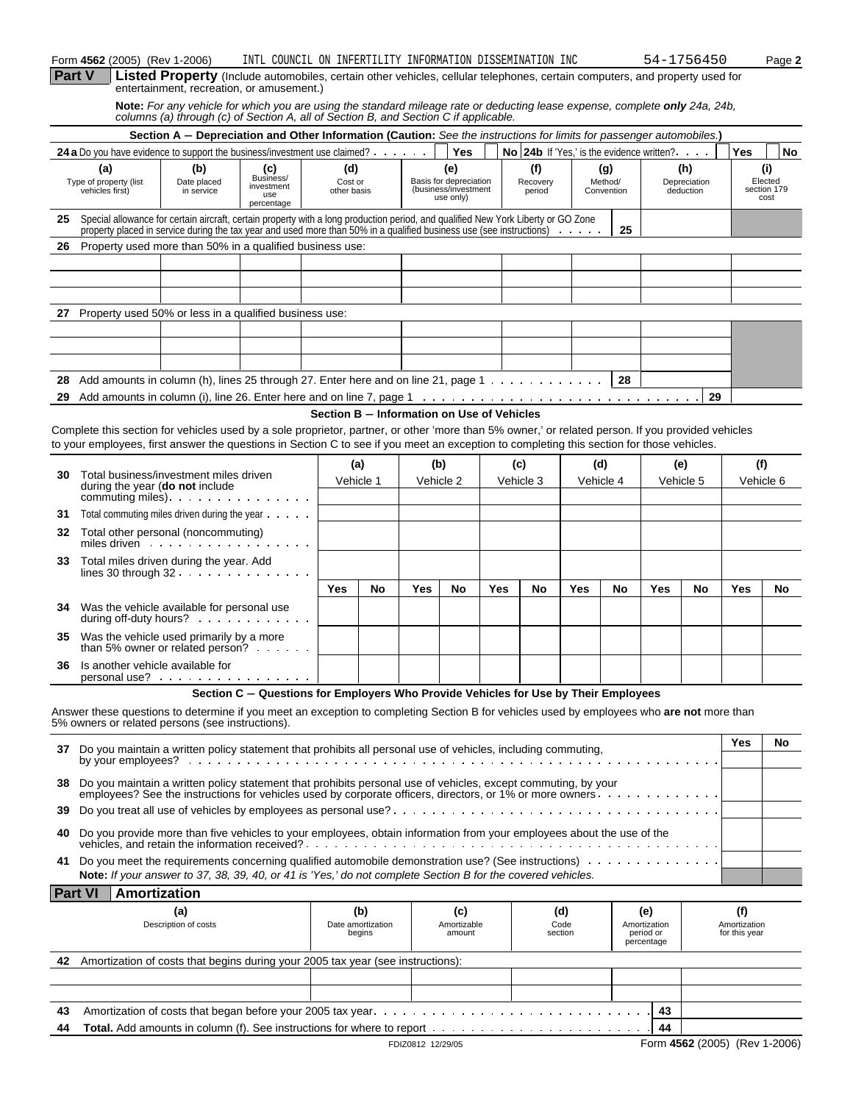|    | Form 4562 (2005) (Rev 1-2006)                                                                                                                                                                                                                                                                  |                                  | INTL COUNCIL ON INFERTILITY INFORMATION DISSEMINATION INC                                                                                                                                                           |                                            |                                    |                   |                                                                    |     |           |                           |                        |                              |                                                           | 54-1756450                       |                                      | Page 2                                |
|----|------------------------------------------------------------------------------------------------------------------------------------------------------------------------------------------------------------------------------------------------------------------------------------------------|----------------------------------|---------------------------------------------------------------------------------------------------------------------------------------------------------------------------------------------------------------------|--------------------------------------------|------------------------------------|-------------------|--------------------------------------------------------------------|-----|-----------|---------------------------|------------------------|------------------------------|-----------------------------------------------------------|----------------------------------|--------------------------------------|---------------------------------------|
|    | Part V                                                                                                                                                                                                                                                                                         |                                  | Listed Property (Include automobiles, certain other vehicles, cellular telephones, certain computers, and property used for<br>entertainment, recreation, or amusement.)                                            |                                            |                                    |                   |                                                                    |     |           |                           |                        |                              |                                                           |                                  |                                      |                                       |
|    |                                                                                                                                                                                                                                                                                                |                                  | Note: For any vehicle for which you are using the standard mileage rate or deducting lease expense, complete only 24a, 24b,<br>columns (a) through (c) of Section A, all of Section B, and Section C if applicable. |                                            |                                    |                   |                                                                    |     |           |                           |                        |                              |                                                           |                                  |                                      |                                       |
|    |                                                                                                                                                                                                                                                                                                |                                  | Section A - Depreciation and Other Information (Caution: See the instructions for limits for passenger automobiles.)                                                                                                |                                            |                                    |                   |                                                                    |     |           |                           |                        |                              |                                                           |                                  |                                      |                                       |
|    | 24 a Do you have evidence to support the business/investment use claimed?                                                                                                                                                                                                                      |                                  |                                                                                                                                                                                                                     |                                            |                                    |                   | <b>Yes</b>                                                         |     |           |                           |                        |                              | <b>No 24b</b> If 'Yes,' is the evidence written? $\cdots$ |                                  | Yes                                  | No                                    |
|    | (a)<br>Type of property (list<br>vehicles first)                                                                                                                                                                                                                                               | (b)<br>Date placed<br>in service | (c)<br>Business/<br>investment<br>use<br>percentage                                                                                                                                                                 | (d)<br>Cost or<br>other basis              |                                    |                   | (e)<br>Basis for depreciation<br>(business/investment<br>use only) |     |           | (f)<br>Recovery<br>period |                        | (g)<br>Method/<br>Convention |                                                           | (h)<br>Depreciation<br>deduction |                                      | (i)<br>Elected<br>section 179<br>cost |
| 25 | Special allowance for certain aircraft, certain property with a long production period, and qualified New York Liberty or GO Zone                                                                                                                                                              |                                  |                                                                                                                                                                                                                     |                                            |                                    |                   |                                                                    |     |           |                           |                        |                              |                                                           |                                  |                                      |                                       |
| 26 | property placed in service during the tax year and used more than 50% in a qualified business use (see instructions)<br>Property used more than 50% in a qualified business use:                                                                                                               |                                  |                                                                                                                                                                                                                     |                                            |                                    |                   |                                                                    |     |           |                           |                        | 25                           |                                                           |                                  |                                      |                                       |
|    |                                                                                                                                                                                                                                                                                                |                                  |                                                                                                                                                                                                                     |                                            |                                    |                   |                                                                    |     |           |                           |                        |                              |                                                           |                                  |                                      |                                       |
| 27 | Property used 50% or less in a qualified business use:                                                                                                                                                                                                                                         |                                  |                                                                                                                                                                                                                     |                                            |                                    |                   |                                                                    |     |           |                           |                        |                              |                                                           |                                  |                                      |                                       |
|    |                                                                                                                                                                                                                                                                                                |                                  |                                                                                                                                                                                                                     |                                            |                                    |                   |                                                                    |     |           |                           |                        |                              |                                                           |                                  |                                      |                                       |
|    |                                                                                                                                                                                                                                                                                                |                                  |                                                                                                                                                                                                                     |                                            |                                    |                   |                                                                    |     |           |                           |                        |                              |                                                           |                                  |                                      |                                       |
| 28 | Add amounts in column (h), lines 25 through 27. Enter here and on line 21, page 1                                                                                                                                                                                                              |                                  |                                                                                                                                                                                                                     |                                            |                                    |                   |                                                                    |     |           |                           |                        | 28                           |                                                           |                                  |                                      |                                       |
| 29 |                                                                                                                                                                                                                                                                                                |                                  |                                                                                                                                                                                                                     | Section B - Information on Use of Vehicles |                                    |                   |                                                                    |     |           |                           |                        |                              |                                                           | 29                               |                                      |                                       |
|    | Complete this section for vehicles used by a sole proprietor, partner, or other 'more than 5% owner,' or related person. If you provided vehicles<br>to your employees, first answer the questions in Section C to see if you meet an exception to completing this section for those vehicles. |                                  |                                                                                                                                                                                                                     |                                            |                                    |                   |                                                                    |     |           |                           |                        |                              |                                                           |                                  |                                      |                                       |
|    |                                                                                                                                                                                                                                                                                                |                                  |                                                                                                                                                                                                                     |                                            | (a)                                |                   | (b)                                                                |     | (c)       |                           |                        | (d)                          |                                                           | (e)                              | (f)                                  |                                       |
| 30 | Total business/investment miles driven<br>during the year (do not include<br>commuting miles).                                                                                                                                                                                                 |                                  |                                                                                                                                                                                                                     |                                            | Vehicle 1                          |                   | Vehicle 2                                                          |     | Vehicle 3 |                           |                        | Vehicle 4                    |                                                           | Vehicle 5                        |                                      | Vehicle 6                             |
| 31 | Total commuting miles driven during the year $\ldots$ .                                                                                                                                                                                                                                        |                                  |                                                                                                                                                                                                                     |                                            |                                    |                   |                                                                    |     |           |                           |                        |                              |                                                           |                                  |                                      |                                       |
| 32 | Total other personal (noncommuting)<br>miles driven                                                                                                                                                                                                                                            |                                  |                                                                                                                                                                                                                     |                                            |                                    |                   |                                                                    |     |           |                           |                        |                              |                                                           |                                  |                                      |                                       |
| 33 | Total miles driven during the year. Add<br>lines 30 through $32 \cdot \cdot \cdot \cdot \cdot \cdot \cdot \cdot \cdot \cdot$                                                                                                                                                                   |                                  |                                                                                                                                                                                                                     |                                            |                                    |                   |                                                                    |     |           |                           |                        |                              |                                                           |                                  |                                      |                                       |
|    |                                                                                                                                                                                                                                                                                                |                                  |                                                                                                                                                                                                                     | Yes                                        | No                                 | Yes               | No                                                                 | Yes |           | No                        | Yes                    | No                           | Yes                                                       | No                               | Yes                                  | No                                    |
| 34 | Was the vehicle available for personal use<br>during off-duty hours?                                                                                                                                                                                                                           |                                  |                                                                                                                                                                                                                     |                                            |                                    |                   |                                                                    |     |           |                           |                        |                              |                                                           |                                  |                                      |                                       |
| 35 | Was the vehicle used primarily by a more<br>than 5% owner or related person?                                                                                                                                                                                                                   |                                  |                                                                                                                                                                                                                     |                                            |                                    |                   |                                                                    |     |           |                           |                        |                              |                                                           |                                  |                                      |                                       |
| 36 | Is another vehicle available for<br>personal use?                                                                                                                                                                                                                                              |                                  |                                                                                                                                                                                                                     |                                            |                                    |                   |                                                                    |     |           |                           |                        |                              |                                                           |                                  |                                      |                                       |
|    |                                                                                                                                                                                                                                                                                                |                                  | Section C - Questions for Employers Who Provide Vehicles for Use by Their Employees                                                                                                                                 |                                            |                                    |                   |                                                                    |     |           |                           |                        |                              |                                                           |                                  |                                      |                                       |
|    | Answer these questions to determine if you meet an exception to completing Section B for vehicles used by employees who are not more than<br>5% owners or related persons (see instructions).                                                                                                  |                                  |                                                                                                                                                                                                                     |                                            |                                    |                   |                                                                    |     |           |                           |                        |                              |                                                           |                                  |                                      |                                       |
|    | 37 Do you maintain a written policy statement that prohibits all personal use of vehicles, including commuting,                                                                                                                                                                                |                                  |                                                                                                                                                                                                                     |                                            |                                    |                   |                                                                    |     |           |                           |                        |                              |                                                           |                                  | Yes                                  | No                                    |
| 38 | Do you maintain a written policy statement that prohibits personal use of vehicles, except commuting, by your<br>employees? See the instructions for vehicles used by corporate officers, directors, or 1% or more owners                                                                      |                                  |                                                                                                                                                                                                                     |                                            |                                    |                   |                                                                    |     |           |                           |                        |                              |                                                           |                                  |                                      |                                       |
| 39 |                                                                                                                                                                                                                                                                                                |                                  |                                                                                                                                                                                                                     |                                            |                                    |                   |                                                                    |     |           |                           |                        |                              |                                                           |                                  |                                      |                                       |
| 40 | Do you provide more than five vehicles to your employees, obtain information from your employees about the use of the<br>vehicles, and retain the information received?                                                                                                                        |                                  |                                                                                                                                                                                                                     |                                            |                                    |                   |                                                                    |     |           |                           |                        |                              |                                                           |                                  |                                      |                                       |
| 41 | Do you meet the requirements concerning qualified automobile demonstration use? (See instructions)<br>Note: If your answer to 37, 38, 39, 40, or 41 is 'Yes,' do not complete Section B for the covered vehicles.                                                                              |                                  |                                                                                                                                                                                                                     |                                            |                                    |                   |                                                                    |     |           |                           |                        |                              |                                                           |                                  |                                      |                                       |
|    | Amortization<br><b>Part VI</b>                                                                                                                                                                                                                                                                 |                                  |                                                                                                                                                                                                                     |                                            |                                    |                   |                                                                    |     |           |                           |                        |                              |                                                           |                                  |                                      |                                       |
|    |                                                                                                                                                                                                                                                                                                | (a)<br>Description of costs      |                                                                                                                                                                                                                     |                                            | (b)<br>Date amortization<br>begins |                   | (c)<br>Amortizable<br>amount                                       |     |           |                           | (d)<br>Code<br>section |                              | (e)<br>Amortization<br>period or<br>percentage            |                                  | (f)<br>Amortization<br>for this year |                                       |
| 42 | Amortization of costs that begins during your 2005 tax year (see instructions):                                                                                                                                                                                                                |                                  |                                                                                                                                                                                                                     |                                            |                                    |                   |                                                                    |     |           |                           |                        |                              |                                                           |                                  |                                      |                                       |
|    |                                                                                                                                                                                                                                                                                                |                                  |                                                                                                                                                                                                                     |                                            |                                    |                   |                                                                    |     |           |                           |                        |                              |                                                           |                                  |                                      |                                       |
| 43 |                                                                                                                                                                                                                                                                                                |                                  |                                                                                                                                                                                                                     |                                            |                                    |                   |                                                                    |     |           |                           |                        |                              | 43                                                        |                                  |                                      |                                       |
| 44 |                                                                                                                                                                                                                                                                                                |                                  |                                                                                                                                                                                                                     |                                            |                                    |                   |                                                                    |     |           |                           |                        |                              | 44                                                        |                                  |                                      |                                       |
|    |                                                                                                                                                                                                                                                                                                |                                  |                                                                                                                                                                                                                     |                                            |                                    | FDIZ0812 12/29/05 |                                                                    |     |           |                           |                        |                              |                                                           | Form 4562 (2005) (Rev 1-2006)    |                                      |                                       |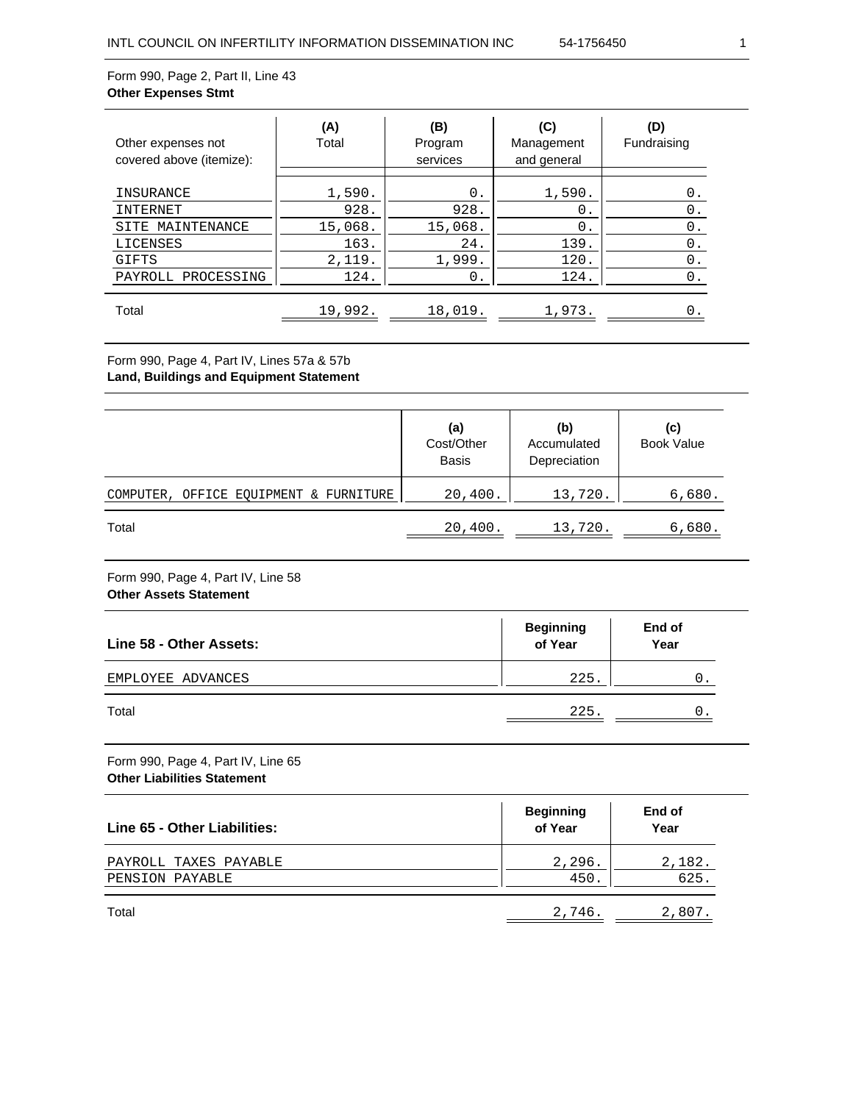#### Form 990, Page 2, Part II, Line 43 **Other Expenses Stmt**

| Other expenses not<br>covered above (itemize): | (A)<br>Total | (B)<br>Program<br>services | (C)<br>Management<br>and general | (D)<br>Fundraising |
|------------------------------------------------|--------------|----------------------------|----------------------------------|--------------------|
| INSURANCE                                      | 1,590.       | 0.                         | 1,590.                           | 0.                 |
| INTERNET                                       | 928.         | 928.                       | 0.                               | 0.                 |
| MAINTENANCE<br>SITE                            | 15,068.      | 15,068.                    | 0.                               | 0.                 |
| LICENSES                                       | 163.         | 24.                        | 139.                             | 0.                 |
| GIFTS                                          | 2,119.       | 1,999.                     | 120.                             | 0.                 |
| PROCESSING<br>PAYROLL                          | 124.         | 0.                         | 124.                             | 0.                 |
| Total                                          | 19,992.      | 18,019.                    | 1,973.                           |                    |

## Form 990, Page 4, Part IV, Lines 57a & 57b **Land, Buildings and Equipment Statement**

|                                        | (a)<br>Cost/Other<br><b>Basis</b> | (b)<br>Accumulated<br>Depreciation | (c)<br><b>Book Value</b> |
|----------------------------------------|-----------------------------------|------------------------------------|--------------------------|
| COMPUTER, OFFICE EQUIPMENT & FURNITURE | 20,400.                           | 13,720.                            | 6,680.                   |
| Total                                  | 20,400.                           | 13,720.                            | 6,680.                   |

## Form 990, Page 4, Part IV, Line 58 **Other Assets Statement**

| Line 58 - Other Assets: | <b>Beginning</b><br>of Year | End of<br>Year |
|-------------------------|-----------------------------|----------------|
| EMPLOYEE ADVANCES       | 225.                        |                |
| Total                   | 225.                        | Ο.             |

Form 990, Page 4, Part IV, Line 65 **Other Liabilities Statement**

| Line 65 - Other Liabilities:             | <b>Beginning</b><br>of Year | End of<br>Year |
|------------------------------------------|-----------------------------|----------------|
| PAYROLL TAXES PAYABLE<br>PENSION PAYABLE | 2,296.<br>450.              | 2,182.<br>625. |
| Total                                    | 2,746.                      | 2,807.         |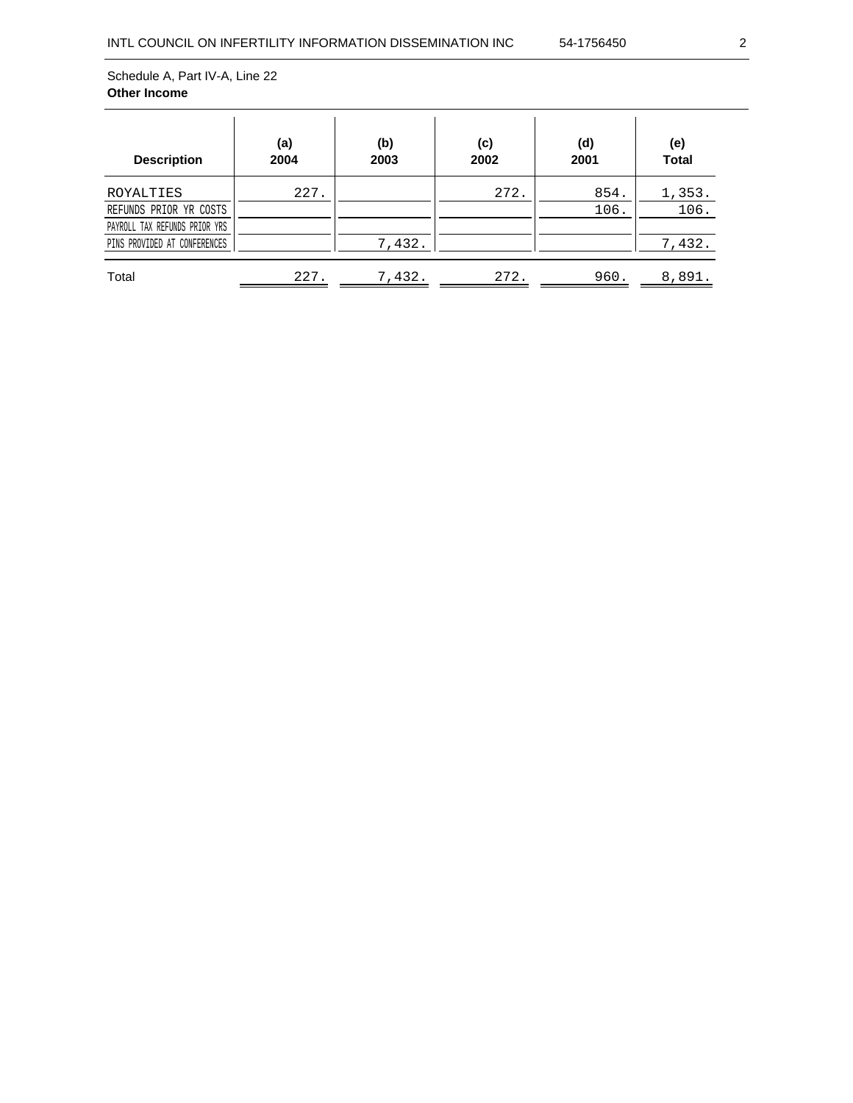| <b>Description</b>                                                                                   | (a)<br>2004 | (b)<br>2003 | (c)<br>2002 | (d)<br>2001  | (e)<br><b>Total</b>      |
|------------------------------------------------------------------------------------------------------|-------------|-------------|-------------|--------------|--------------------------|
| ROYALTIES<br>REFUNDS PRIOR YR COSTS<br>PAYROLL TAX REFUNDS PRIOR YRS<br>PINS PROVIDED AT CONFERENCES | 227.        | 7,432.      | 272.        | 854.<br>106. | 1,353.<br>106.<br>7,432. |
| Total                                                                                                | 227.        | 7,432.      | 272.        | 960.         | 8,891.                   |